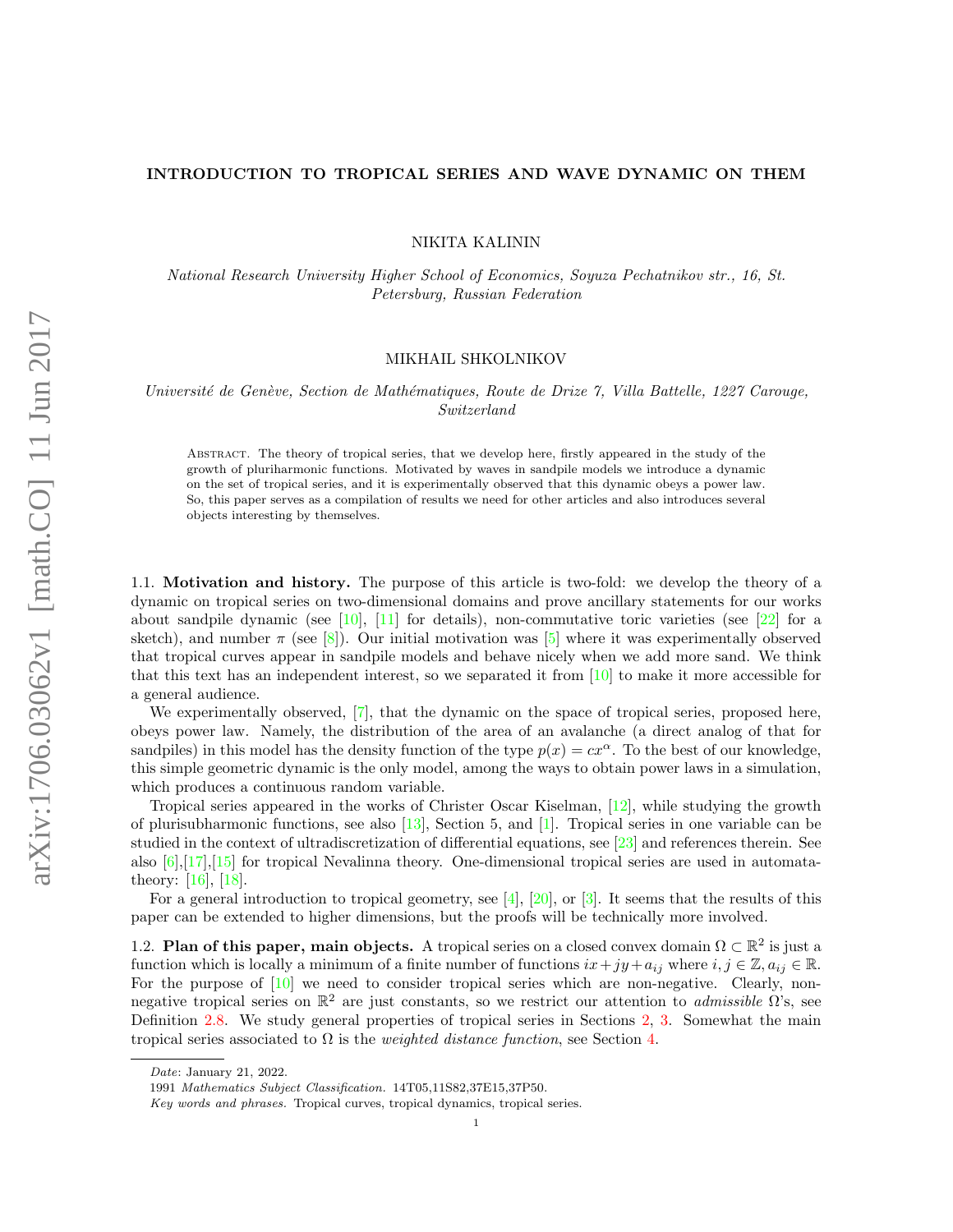# <span id="page-0-0"></span>INTRODUCTION TO TROPICAL SERIES AND WAVE DYNAMIC ON THEM

NIKITA KALININ

National Research University Higher School of Economics, Soyuza Pechatnikov str., 16, St. Petersburg, Russian Federation

### MIKHAIL SHKOLNIKOV

Université de Genève, Section de Mathématiques, Route de Drize 7, Villa Battelle, 1227 Carouge, Switzerland

Abstract. The theory of tropical series, that we develop here, firstly appeared in the study of the growth of pluriharmonic functions. Motivated by waves in sandpile models we introduce a dynamic on the set of tropical series, and it is experimentally observed that this dynamic obeys a power law. So, this paper serves as a compilation of results we need for other articles and also introduces several objects interesting by themselves.

1.1. Motivation and history. The purpose of this article is two-fold: we develop the theory of a dynamic on tropical series on two-dimensional domains and prove ancillary statements for our works about sandpile dynamic (see [\[10\]](#page-19-0), [\[11\]](#page-19-1) for details), non-commutative toric varieties (see [\[22\]](#page-19-2) for a sketch), and number  $\pi$  (see [\[8\]](#page-19-3)). Our initial motivation was [\[5\]](#page-19-4) where it was experimentally observed that tropical curves appear in sandpile models and behave nicely when we add more sand. We think that this text has an independent interest, so we separated it from [\[10\]](#page-19-0) to make it more accessible for a general audience.

We experimentally observed, [\[7\]](#page-19-5), that the dynamic on the space of tropical series, proposed here, obeys power law. Namely, the distribution of the area of an avalanche (a direct analog of that for sandpiles) in this model has the density function of the type  $p(x) = cx^{\alpha}$ . To the best of our knowledge, this simple geometric dynamic is the only model, among the ways to obtain power laws in a simulation, which produces a continuous random variable.

Tropical series appeared in the works of Christer Oscar Kiselman, [\[12\]](#page-19-6), while studying the growth of plurisubharmonic functions, see also  $[13]$ , Section 5, and  $[1]$ . Tropical series in one variable can be studied in the context of ultradiscretization of differential equations, see [\[23\]](#page-19-9) and references therein. See also  $[6], [17], [15]$  $[6], [17], [15]$  $[6], [17], [15]$  $[6], [17], [15]$  $[6], [17], [15]$  for tropical Nevalinna theory. One-dimensional tropical series are used in automatatheory: [\[16\]](#page-19-13), [\[18\]](#page-19-14).

For a general introduction to tropical geometry, see [\[4\]](#page-19-15), [\[20\]](#page-19-16), or [\[3\]](#page-19-17). It seems that the results of this paper can be extended to higher dimensions, but the proofs will be technically more involved.

1.2. Plan of this paper, main objects. A tropical series on a closed convex domain  $\Omega \subset \mathbb{R}^2$  is just a function which is locally a minimum of a finite number of functions  $ix+jy+a_{ij}$  where  $i, j \in \mathbb{Z}$ ,  $a_{ij} \in \mathbb{R}$ . For the purpose of [\[10\]](#page-19-0) we need to consider tropical series which are non-negative. Clearly, nonnegative tropical series on  $\mathbb{R}^2$  are just constants, so we restrict our attention to *admissible*  $\Omega$ 's, see Definition [2.8.](#page-2-0) We study general properties of tropical series in Sections [2,](#page-1-0) [3.](#page-2-1) Somewhat the main tropical series associated to  $\Omega$  is the *weighted distance function*, see Section [4.](#page-4-0)

Date: January 21, 2022.

<sup>1991</sup> Mathematics Subject Classification. 14T05,11S82,37E15,37P50.

Key words and phrases. Tropical curves, tropical dynamics, tropical series.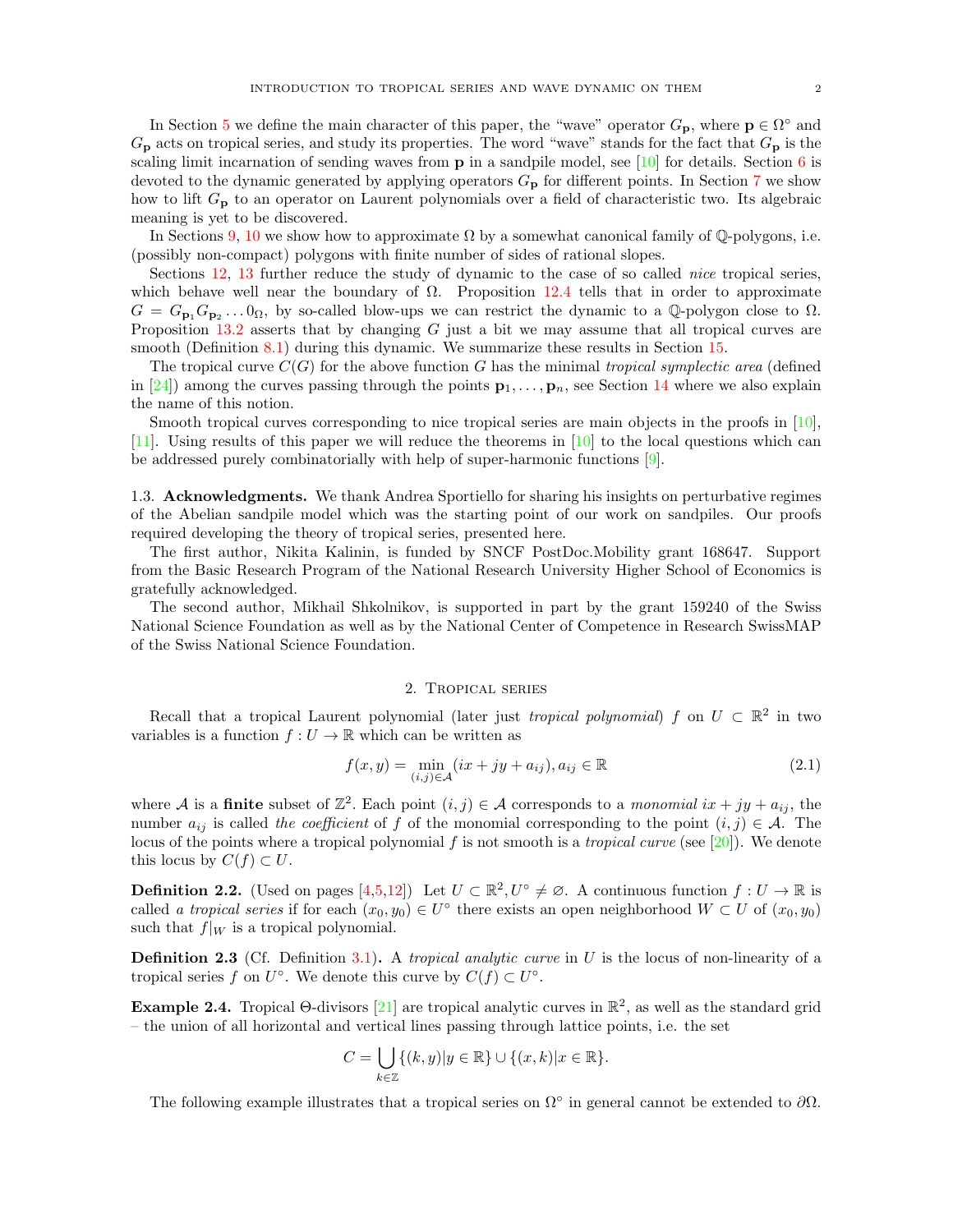<span id="page-1-1"></span>In Section [5](#page-5-0) we define the main character of this paper, the "wave" operator  $G_{\mathbf{p}}$ , where  $\mathbf{p} \in \Omega^{\circ}$  and  $G_{\mathbf{p}}$  acts on tropical series, and study its properties. The word "wave" stands for the fact that  $G_{\mathbf{p}}$  is the scaling limit incarnation of sending waves from  $\bf{p}$  in a sandpile model, see [\[10\]](#page-19-0) for details. Section [6](#page-7-0) is devoted to the dynamic generated by applying operators  $G_{\mathbf{p}}$  for different points. In Section [7](#page-8-0) we show how to lift  $G_{\mathbf{p}}$  to an operator on Laurent polynomials over a field of characteristic two. Its algebraic meaning is yet to be discovered.

In Sections [9,](#page-10-0) [10](#page-11-0) we show how to approximate  $\Omega$  by a somewhat canonical family of Q-polygons, i.e. (possibly non-compact) polygons with finite number of sides of rational slopes.

Sections [12,](#page-14-0) [13](#page-15-0) further reduce the study of dynamic to the case of so called *nice* tropical series, which behave well near the boundary of  $\Omega$ . Proposition [12.4](#page-15-1) tells that in order to approximate  $G = G_{\mathbf{p}_1} G_{\mathbf{p}_2} \ldots 0_{\Omega}$ , by so-called blow-ups we can restrict the dynamic to a Q-polygon close to  $\Omega$ . Proposition [13.2](#page-15-2) asserts that by changing G just a bit we may assume that all tropical curves are smooth (Definition [8.1\)](#page-9-0) during this dynamic. We summarize these results in Section [15.](#page-18-0)

The tropical curve  $C(G)$  for the above function G has the minimal tropical symplectic area (defined in [\[24\]](#page-19-18)) among the curves passing through the points  $\mathbf{p}_1, \ldots, \mathbf{p}_n$ , see Section [14](#page-16-0) where we also explain the name of this notion.

Smooth tropical curves corresponding to nice tropical series are main objects in the proofs in [\[10\]](#page-19-0). [\[11\]](#page-19-1). Using results of this paper we will reduce the theorems in [\[10\]](#page-19-0) to the local questions which can be addressed purely combinatorially with help of super-harmonic functions [\[9\]](#page-19-19).

1.3. Acknowledgments. We thank Andrea Sportiello for sharing his insights on perturbative regimes of the Abelian sandpile model which was the starting point of our work on sandpiles. Our proofs required developing the theory of tropical series, presented here.

The first author, Nikita Kalinin, is funded by SNCF PostDoc.Mobility grant 168647. Support from the Basic Research Program of the National Research University Higher School of Economics is gratefully acknowledged.

The second author, Mikhail Shkolnikov, is supported in part by the grant 159240 of the Swiss National Science Foundation as well as by the National Center of Competence in Research SwissMAP of the Swiss National Science Foundation.

#### 2. Tropical series

<span id="page-1-0"></span>Recall that a tropical Laurent polynomial (later just *tropical polynomial)* f on  $U \subset \mathbb{R}^2$  in two variables is a function  $f: U \to \mathbb{R}$  which can be written as

$$
f(x,y) = \min_{(i,j)\in\mathcal{A}} (ix + jy + a_{ij}), a_{ij} \in \mathbb{R}
$$
 (2.1)

where A is a **finite** subset of  $\mathbb{Z}^2$ . Each point  $(i, j) \in \mathcal{A}$  corresponds to a *monomial*  $ix + jy + a_{ij}$ , the number  $a_{ij}$  is called the coefficient of f of the monomial corresponding to the point  $(i, j) \in \mathcal{A}$ . The locus of the points where a tropical polynomial f is not smooth is a *tropical curve* (see [\[20\]](#page-19-16)). We denote this locus by  $C(f) \subset U$ .

<span id="page-1-2"></span>**Definition 2.2.** (Used on pages  $[4,5,12]$  $[4,5,12]$  $[4,5,12]$ ) Let  $U \subset \mathbb{R}^2, U^{\circ} \neq \emptyset$ . A continuous function  $f: U \to \mathbb{R}$  is called a tropical series if for each  $(x_0, y_0) \in U^{\circ}$  there exists an open neighborhood  $W \subset U$  of  $(x_0, y_0)$ such that  $f|_W$  is a tropical polynomial.

**Definition 2.3** (Cf. Definition [3.1\)](#page-2-2). A *tropical analytic curve* in U is the locus of non-linearity of a tropical series f on  $U^{\circ}$ . We denote this curve by  $C(f) \subset U^{\circ}$ .

**Example 2.4.** Tropical  $\Theta$ -divisors [\[21\]](#page-19-20) are tropical analytic curves in  $\mathbb{R}^2$ , as well as the standard grid – the union of all horizontal and vertical lines passing through lattice points, i.e. the set

$$
C = \bigcup_{k \in \mathbb{Z}} \{ (k, y) | y \in \mathbb{R} \} \cup \{ (x, k) | x \in \mathbb{R} \}.
$$

The following example illustrates that a tropical series on  $\Omega^{\circ}$  in general cannot be extended to  $\partial\Omega$ .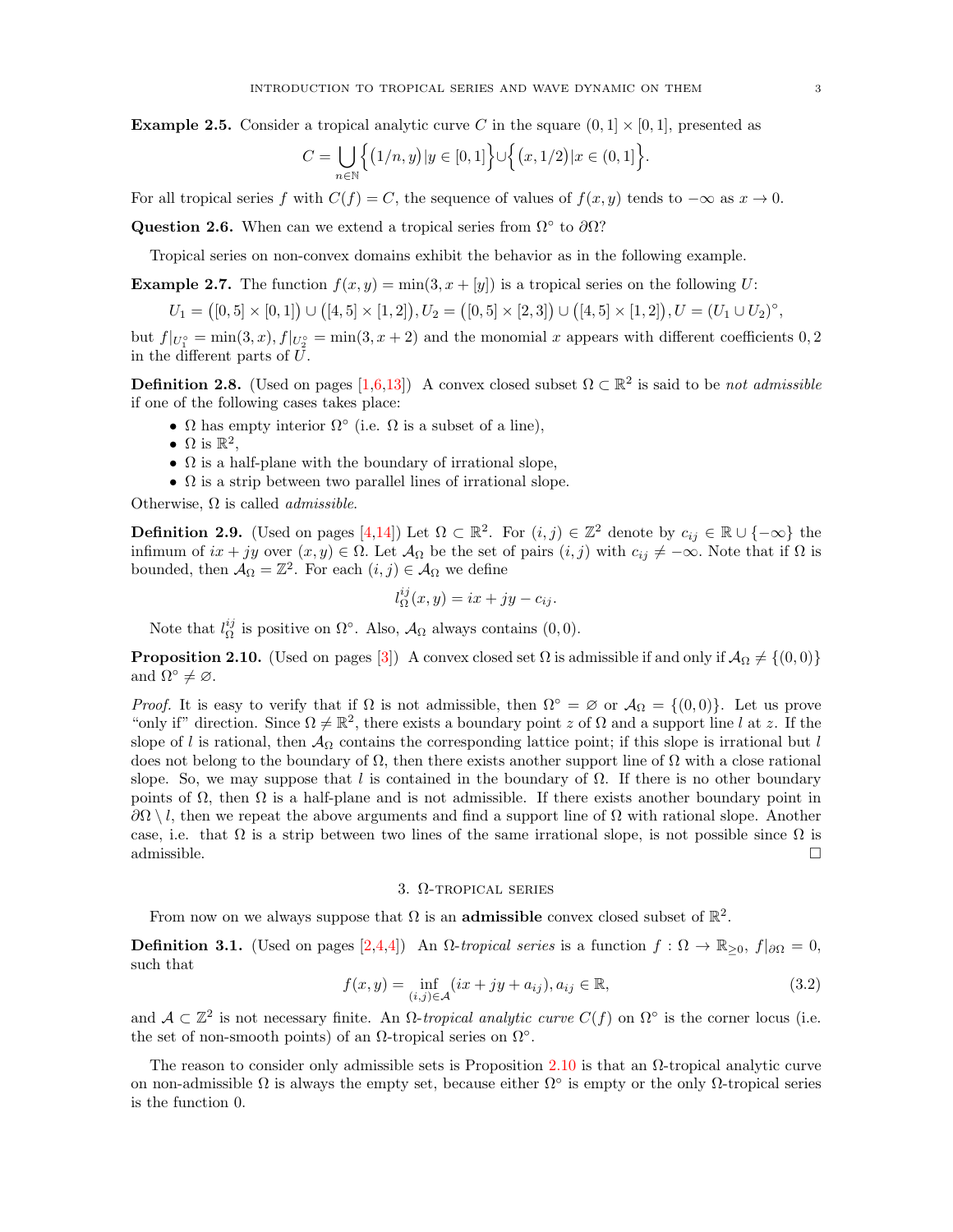<span id="page-2-3"></span>**Example 2.5.** Consider a tropical analytic curve C in the square  $(0, 1] \times [0, 1]$ , presented as

$$
C = \bigcup_{n \in \mathbb{N}} \Big\{ (1/n, y) | y \in [0, 1] \Big\} \cup \Big\{ (x, 1/2) | x \in (0, 1] \Big\}.
$$

For all tropical series f with  $C(f) = C$ , the sequence of values of  $f(x, y)$  tends to  $-\infty$  as  $x \to 0$ .

Question 2.6. When can we extend a tropical series from  $\Omega^{\circ}$  to  $\partial\Omega$ ?

Tropical series on non-convex domains exhibit the behavior as in the following example.

**Example 2.7.** The function  $f(x, y) = \min(3, x + [y])$  is a tropical series on the following U:

$$
U_1 = ([0,5] \times [0,1]) \cup ([4,5] \times [1,2]), U_2 = ([0,5] \times [2,3]) \cup ([4,5] \times [1,2]), U = (U_1 \cup U_2)^{\circ},
$$

but  $f|_{U_1^{\circ}} = \min(3, x), f|_{U_2^{\circ}} = \min(3, x + 2)$  and the monomial x appears with different coefficients 0, 2 in the different parts of U.

<span id="page-2-0"></span>**Definition 2.8.** (Used on pages  $[1,6,13]$  $[1,6,13]$  $[1,6,13]$ ) A convex closed subset  $\Omega \subset \mathbb{R}^2$  is said to be not admissible if one of the following cases takes place:

- $\Omega$  has empty interior  $\Omega^{\circ}$  (i.e.  $\Omega$  is a subset of a line),
- $\Omega$  is  $\mathbb{R}^2$ ,
- $\Omega$  is a half-plane with the boundary of irrational slope,
- $\Omega$  is a strip between two parallel lines of irrational slope.

Otherwise,  $\Omega$  is called *admissible*.

<span id="page-2-6"></span>**Definition 2.9.** (Used on pages [\[4,](#page-3-0)[14\]](#page-13-0)) Let  $\Omega \subset \mathbb{R}^2$ . For  $(i, j) \in \mathbb{Z}^2$  denote by  $c_{ij} \in \mathbb{R} \cup \{-\infty\}$  the infimum of  $ix + jy$  over  $(x, y) \in \Omega$ . Let  $\mathcal{A}_{\Omega}$  be the set of pairs  $(i, j)$  with  $c_{ij} \neq -\infty$ . Note that if  $\Omega$  is bounded, then  $\mathcal{A}_{\Omega} = \mathbb{Z}^2$ . For each  $(i, j) \in \mathcal{A}_{\Omega}$  we define

$$
l_{\Omega}^{ij}(x,y) = ix + jy - c_{ij}.
$$

Note that  $l_{\Omega}^{ij}$  is positive on  $\Omega^{\circ}$ . Also,  $\mathcal{A}_{\Omega}$  always contains  $(0,0)$ .

<span id="page-2-4"></span>**Proposition 2.10.** (Used on pages [\[3\]](#page-2-3)) A convex closed set  $\Omega$  is admissible if and only if  $\mathcal{A}_{\Omega} \neq \{(0, 0)\}$ and  $\Omega^{\circ} \neq \emptyset$ .

*Proof.* It is easy to verify that if  $\Omega$  is not admissible, then  $\Omega^{\circ} = \emptyset$  or  $\mathcal{A}_{\Omega} = \{(0,0)\}\$ . Let us prove "only if" direction. Since  $\Omega \neq \mathbb{R}^2$ , there exists a boundary point z of  $\Omega$  and a support line l at z. If the slope of l is rational, then  $A_{\Omega}$  contains the corresponding lattice point; if this slope is irrational but l does not belong to the boundary of  $\Omega$ , then there exists another support line of  $\Omega$  with a close rational slope. So, we may suppose that l is contained in the boundary of  $\Omega$ . If there is no other boundary points of  $\Omega$ , then  $\Omega$  is a half-plane and is not admissible. If there exists another boundary point in  $\partial\Omega\setminus l$ , then we repeat the above arguments and find a support line of  $\Omega$  with rational slope. Another case, i.e. that  $\Omega$  is a strip between two lines of the same irrational slope, is not possible since  $\Omega$  is admissible.  $\Box$ 

### 3. Ω-tropical series

<span id="page-2-1"></span>From now on we always suppose that  $\Omega$  is an **admissible** convex closed subset of  $\mathbb{R}^2$ .

<span id="page-2-2"></span>**Definition 3.1.** (Used on pages [\[2,](#page-1-1)[4,4\]](#page-3-0)) An  $\Omega$ -tropical series is a function  $f : \Omega \to \mathbb{R}_{\geq 0}$ ,  $f|_{\partial \Omega} = 0$ , such that

<span id="page-2-5"></span>
$$
f(x,y) = \inf_{(i,j)\in\mathcal{A}} (ix + jy + a_{ij}), a_{ij} \in \mathbb{R},
$$
\n(3.2)

and  $\mathcal{A} \subset \mathbb{Z}^2$  is not necessary finite. An  $\Omega$ -tropical analytic curve  $C(f)$  on  $\Omega^{\circ}$  is the corner locus (i.e. the set of non-smooth points) of an  $\Omega$ -tropical series on  $\Omega$ °.

The reason to consider only admissible sets is Proposition [2.10](#page-2-4) is that an  $\Omega$ -tropical analytic curve on non-admissible  $\Omega$  is always the empty set, because either  $\Omega^{\circ}$  is empty or the only  $\Omega$ -tropical series is the function 0.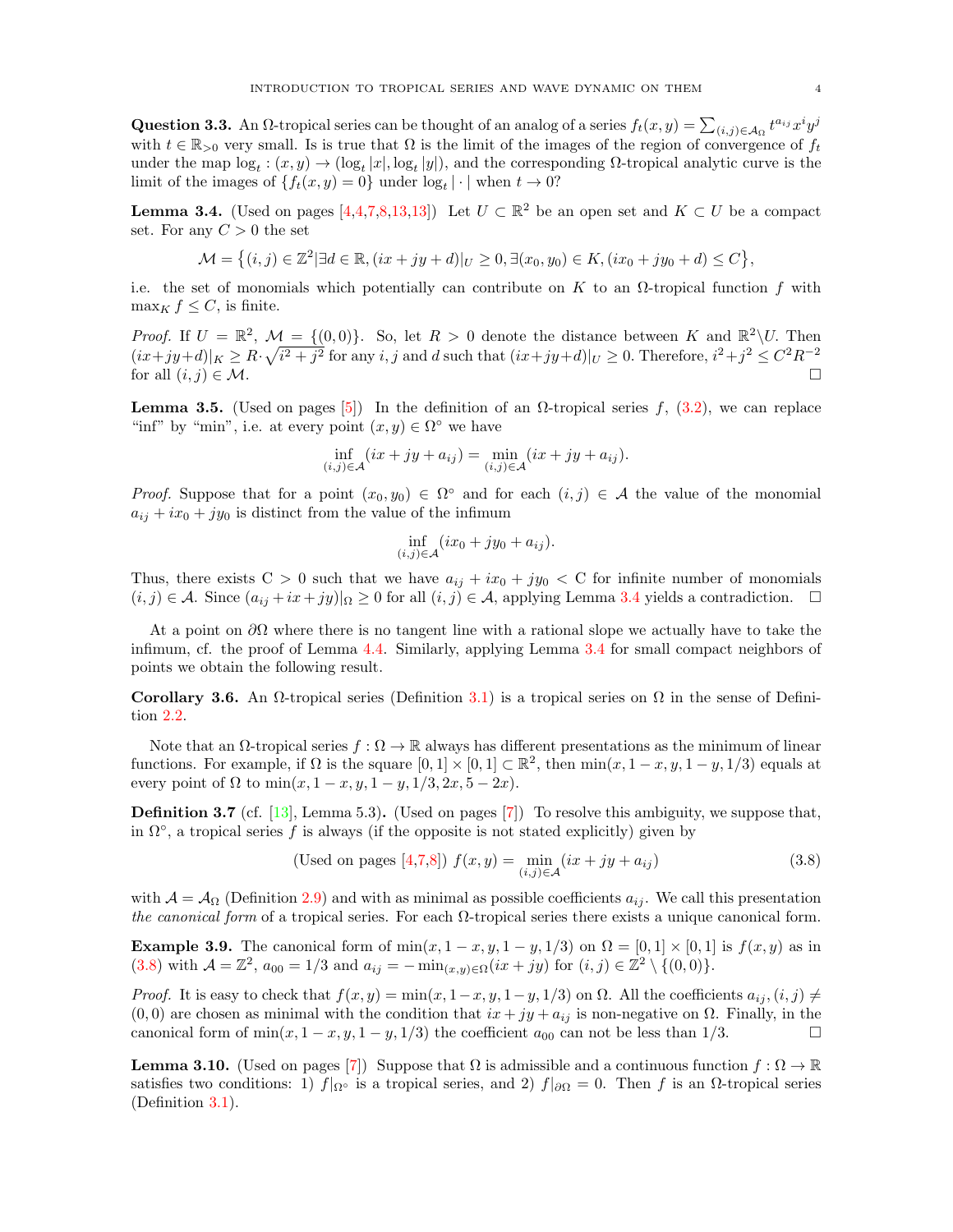<span id="page-3-0"></span>Question 3.3. An  $\Omega$ -tropical series can be thought of an analog of a series  $f_t(x,y) = \sum_{(i,j) \in A_{\Omega}} t^{a_{ij}} x^i y^j$ with  $t \in \mathbb{R}_{>0}$  very small. Is is true that  $\Omega$  is the limit of the images of the region of convergence of  $f_t$ under the map  $log_t : (x, y) \to (log_t |x|, log_t |y|)$ , and the corresponding  $\Omega$ -tropical analytic curve is the limit of the images of  $\{f_t(x,y)=0\}$  under  $\log_t |\cdot|$  when  $t \to 0$ ?

<span id="page-3-1"></span>**Lemma 3.4.** (Used on pages [\[4,4](#page-3-0)[,7,](#page-6-0)[8,](#page-7-1)[13,13\]](#page-12-0)) Let  $U \subset \mathbb{R}^2$  be an open set and  $K \subset U$  be a compact set. For any  $C > 0$  the set

$$
\mathcal{M} = \left\{ (i,j) \in \mathbb{Z}^2 | \exists d \in \mathbb{R}, (ix + jy + d)|_U \ge 0, \exists (x_0, y_0) \in K, (ix_0 + jy_0 + d) \le C \right\},\
$$

i.e. the set of monomials which potentially can contribute on K to an  $\Omega$ -tropical function f with  $\max_K f \leq C$ , is finite.

*Proof.* If  $U = \mathbb{R}^2$ ,  $\mathcal{M} = \{(0,0)\}\$ . So, let  $R > 0$  denote the distance between K and  $\mathbb{R}^2 \setminus U$ . Then  $(ix+jy+d)|_K \geq R \cdot \sqrt{i^2+j^2}$  for any i, j and d such that  $(ix+jy+d)|_U \geq 0$ . Therefore,  $i^2+j^2 \leq C^2R^{-2}$ for all  $(i, j) \in \mathcal{M}$ .

<span id="page-3-3"></span>**Lemma 3.5.** (Used on pages [\[5\]](#page-4-1)) In the definition of an Ω-tropical series f,  $(3.2)$ , we can replace "inf" by "min", i.e. at every point  $(x, y) \in \Omega^{\circ}$  we have

$$
\inf_{(i,j)\in\mathcal{A}} (ix + jy + a_{ij}) = \min_{(i,j)\in\mathcal{A}} (ix + jy + a_{ij}).
$$

*Proof.* Suppose that for a point  $(x_0, y_0) \in \Omega^{\circ}$  and for each  $(i, j) \in A$  the value of the monomial  $a_{ij} + ix_0 + jy_0$  is distinct from the value of the infimum

$$
\inf_{(i,j)\in\mathcal{A}}(ix_0+jy_0+a_{ij}).
$$

Thus, there exists C > 0 such that we have  $a_{ij} + ix_0 + jy_0 < C$  for infinite number of monomials  $(i, j) \in \mathcal{A}$ . Since  $(a_{ij} + ix + jy)|_{\Omega} \geq 0$  for all  $(i, j) \in \mathcal{A}$ , applying Lemma [3.4](#page-3-1) yields a contradiction.  $\square$ 

At a point on  $\partial\Omega$  where there is no tangent line with a rational slope we actually have to take the infimum, cf. the proof of Lemma [4.4.](#page-4-2) Similarly, applying Lemma [3.4](#page-3-1) for small compact neighbors of points we obtain the following result.

Corollary 3.6. An  $\Omega$ -tropical series (Definition [3.1\)](#page-2-2) is a tropical series on  $\Omega$  in the sense of Definition [2.2.](#page-1-2)

Note that an  $\Omega$ -tropical series  $f : \Omega \to \mathbb{R}$  always has different presentations as the minimum of linear functions. For example, if  $\Omega$  is the square  $[0,1] \times [0,1] \subset \mathbb{R}^2$ , then  $\min(x, 1-x, y, 1-y, 1/3)$  equals at every point of  $\Omega$  to  $\min(x, 1-x, y, 1-y, 1/3, 2x, 5-2x)$ .

<span id="page-3-5"></span>Definition 3.7 (cf. [\[13\]](#page-19-7), Lemma 5.3). (Used on pages [\[7\]](#page-6-0)) To resolve this ambiguity, we suppose that, in  $\Omega^{\circ}$ , a tropical series f is always (if the opposite is not stated explicitly) given by

<span id="page-3-2"></span>(Used on pages [4,7,8]) 
$$
f(x, y) = \min_{(i,j)\in\mathcal{A}} (ix + jy + a_{ij})
$$
 (3.8)

with  $\mathcal{A} = \mathcal{A}_{\Omega}$  (Definition [2.9\)](#page-2-6) and with as minimal as possible coefficients  $a_{ij}$ . We call this presentation the canonical form of a tropical series. For each  $\Omega$ -tropical series there exists a unique canonical form.

<span id="page-3-6"></span>**Example 3.9.** The canonical form of  $\min(x, 1-x, y, 1-y, 1/3)$  on  $\Omega = [0, 1] \times [0, 1]$  is  $f(x, y)$  as in [\(3.8\)](#page-3-2) with  $\mathcal{A} = \mathbb{Z}^2$ ,  $a_{00} = 1/3$  and  $a_{ij} = -\min_{(x,y)\in\Omega} (ix + jy)$  for  $(i, j) \in \mathbb{Z}^2 \setminus \{(0, 0)\}.$ 

Proof. It is easy to check that  $f(x, y) = \min(x, 1-x, y, 1-y, 1/3)$  on  $\Omega$ . All the coefficients  $a_{ij}$ ,  $(i, j) \neq j$  $(0,0)$  are chosen as minimal with the condition that  $ix + jy + a_{ij}$  is non-negative on  $\Omega$ . Finally, in the canonical form of min $(x, 1-x, y, 1-y, 1/3)$  the coefficient  $a_{00}$  can not be less than 1/3.

<span id="page-3-4"></span>**Lemma 3.10.** (Used on pages [\[7\]](#page-6-0)) Suppose that  $\Omega$  is admissible and a continuous function  $f : \Omega \to \mathbb{R}$ satisfies two conditions: 1)  $f|_{\Omega}$ ° is a tropical series, and 2)  $f|_{\partial\Omega} = 0$ . Then f is an  $\Omega$ -tropical series (Definition [3.1\)](#page-2-2).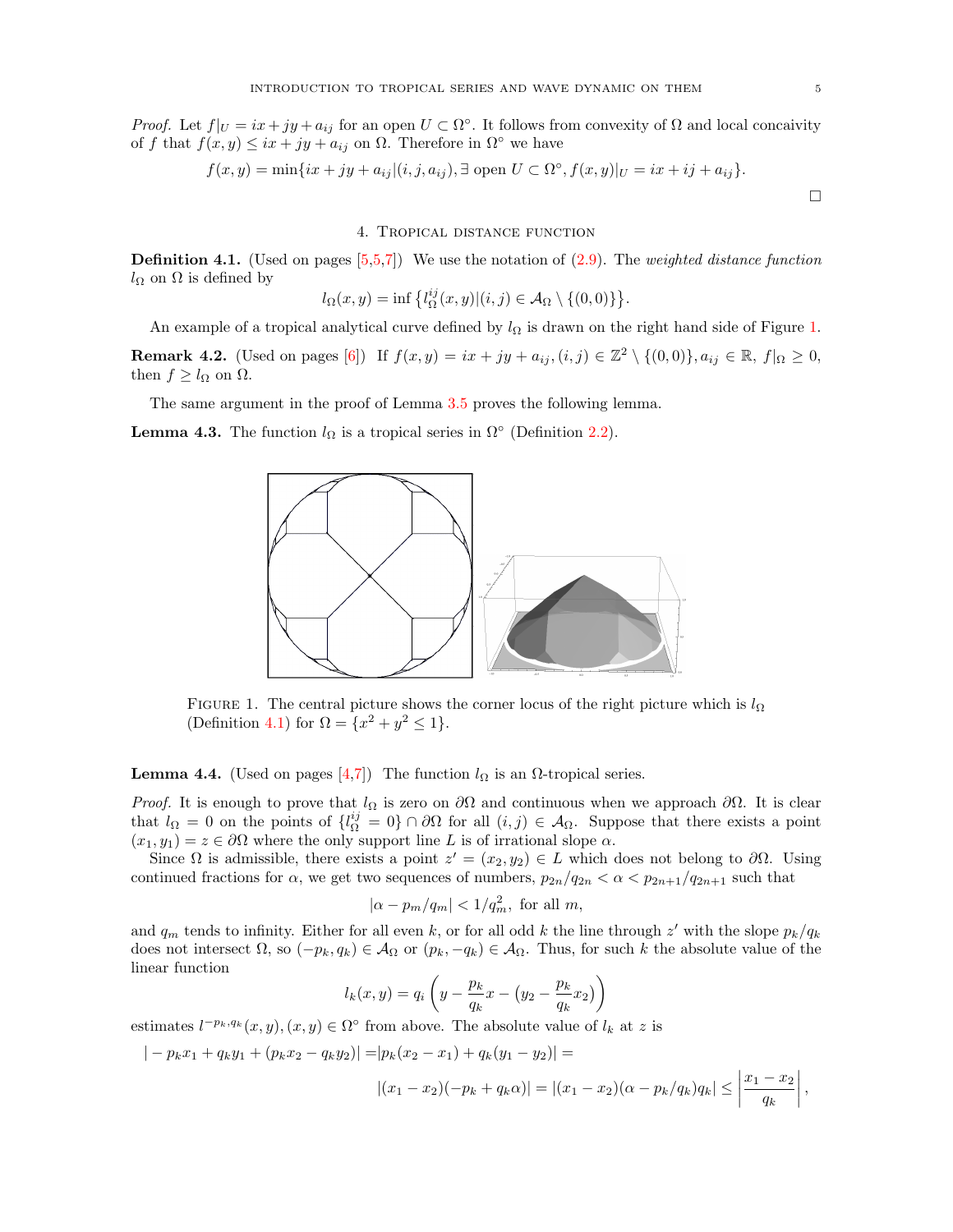<span id="page-4-1"></span>Proof. Let  $f|_U = ix + jy + a_{ij}$  for an open  $U \subset \Omega^{\circ}$ . It follows from convexity of  $\Omega$  and local concaivity of f that  $f(x, y) \leq ix + jy + a_{ij}$  on  $\Omega$ . Therefore in  $\Omega^{\circ}$  we have

$$
f(x,y) = \min\{ix + jy + a_{ij}|(i,j,a_{ij}), \exists \text{ open } U \subset \Omega^{\circ}, f(x,y)|_U = ix + ij + a_{ij}\}.
$$

### 4. Tropical distance function

<span id="page-4-4"></span><span id="page-4-0"></span>**Definition 4.1.** (Used on pages  $[5,5,7]$  $[5,5,7]$ ) We use the notation of  $(2.9)$ . The weighted distance function  $l_{\Omega}$  on  $\Omega$  is defined by

$$
l_{\Omega}(x,y) = \inf \left\{ l_{\Omega}^{ij}(x,y) | (i,j) \in \mathcal{A}_{\Omega} \setminus \{ (0,0) \} \right\}.
$$

An example of a tropical analytical curve defined by  $l_{\Omega}$  is drawn on the right hand side of Figure [1.](#page-4-3)

<span id="page-4-5"></span>**Remark 4.2.** (Used on pages [\[6\]](#page-5-1)) If  $f(x, y) = ix + jy + a_{ij}$ ,  $(i, j) \in \mathbb{Z}^2 \setminus \{(0, 0)\}, a_{ij} \in \mathbb{R}$ ,  $f|_{\Omega} \ge 0$ , then  $f \geq l_{\Omega}$  on  $\Omega$ .

The same argument in the proof of Lemma [3.5](#page-3-3) proves the following lemma.

<span id="page-4-3"></span>**Lemma 4.3.** The function  $l_{\Omega}$  is a tropical series in  $\Omega^{\circ}$  (Definition [2.2\)](#page-1-2).



FIGURE 1. The central picture shows the corner locus of the right picture which is  $l_{\Omega}$ (Definition [4.1\)](#page-4-4) for  $\Omega = \{x^2 + y^2 \le 1\}.$ 

<span id="page-4-2"></span>**Lemma 4.4.** (Used on pages [\[4,](#page-3-0)[7\]](#page-6-0)) The function  $l_{\Omega}$  is an  $\Omega$ -tropical series.

*Proof.* It is enough to prove that  $l_{\Omega}$  is zero on  $\partial\Omega$  and continuous when we approach  $\partial\Omega$ . It is clear that  $l_{\Omega} = 0$  on the points of  $\{l_{\Omega}^{ij} = 0\} \cap \partial \Omega$  for all  $(i, j) \in \mathcal{A}_{\Omega}$ . Suppose that there exists a point  $(x_1, y_1) = z \in \partial\Omega$  where the only support line L is of irrational slope  $\alpha$ .

Since  $\Omega$  is admissible, there exists a point  $z' = (x_2, y_2) \in L$  which does not belong to  $\partial \Omega$ . Using continued fractions for  $\alpha$ , we get two sequences of numbers,  $p_{2n}/q_{2n} < \alpha < p_{2n+1}/q_{2n+1}$  such that

$$
|\alpha - p_m/q_m| < 1/q_m^2, \text{ for all } m,
$$

and  $q_m$  tends to infinity. Either for all even k, or for all odd k the line through z' with the slope  $p_k/q_k$ does not intersect  $\Omega$ , so  $(-p_k, q_k) \in \mathcal{A}_{\Omega}$  or  $(p_k, -q_k) \in \mathcal{A}_{\Omega}$ . Thus, for such k the absolute value of the linear function

$$
l_k(x,y) = q_i \left( y - \frac{p_k}{q_k} x - \left( y_2 - \frac{p_k}{q_k} x_2 \right) \right)
$$

estimates  $l^{-p_k,q_k}(x,y), (x,y) \in \Omega^{\circ}$  from above. The absolute value of  $l_k$  at z is

$$
|-p_k x_1 + q_k y_1 + (p_k x_2 - q_k y_2)| = |p_k (x_2 - x_1) + q_k (y_1 - y_2)| =
$$
  

$$
|(x_1 - x_2)(-p_k + q_k \alpha)| = |(x_1 - x_2)(\alpha - p_k/q_k)q_k| \le \left|\frac{x_1 - x_2}{q_k}\right|,
$$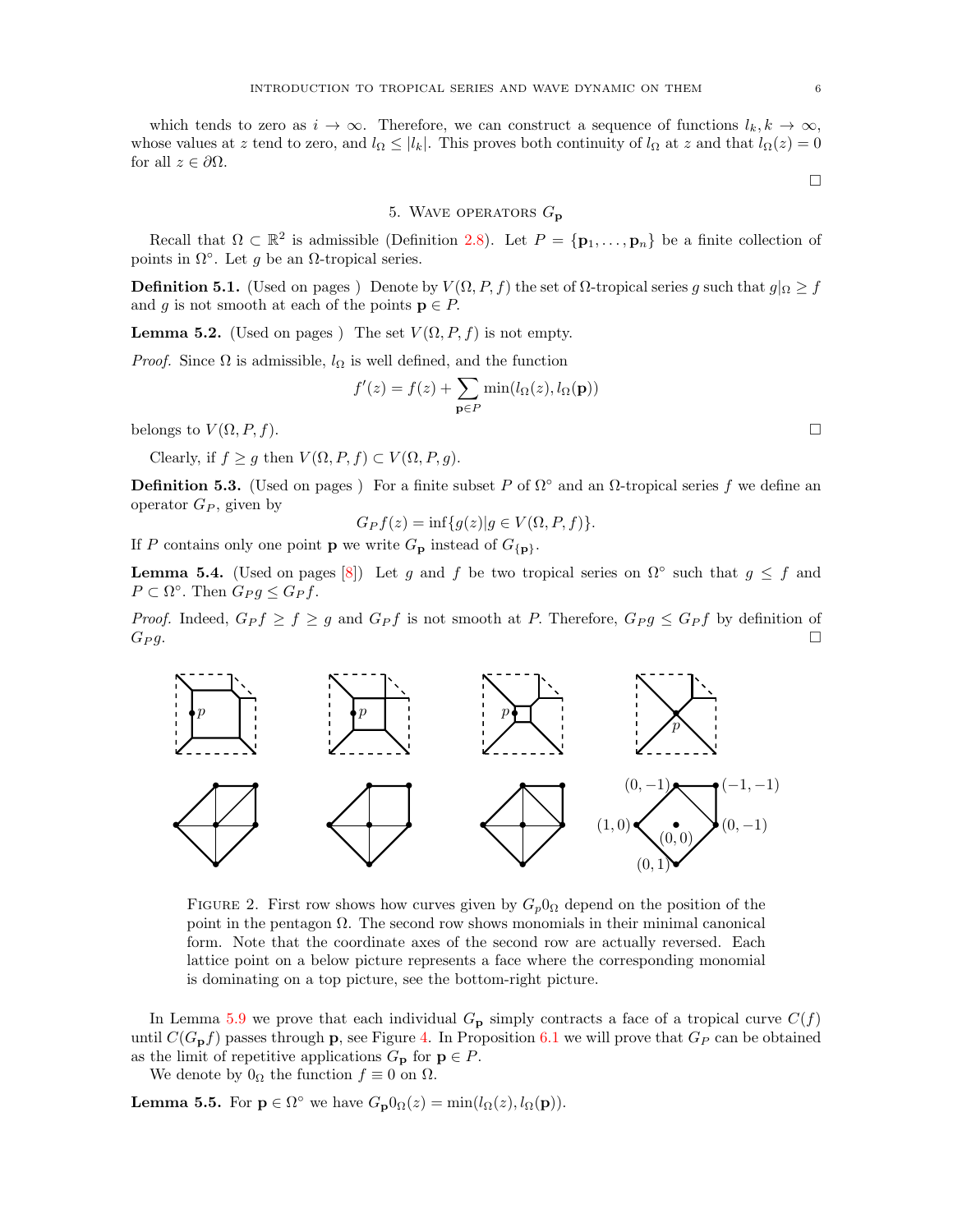<span id="page-5-1"></span>which tends to zero as  $i \to \infty$ . Therefore, we can construct a sequence of functions  $l_k, k \to \infty$ , whose values at z tend to zero, and  $l_{\Omega} \leq |l_k|$ . This proves both continuity of  $l_{\Omega}$  at z and that  $l_{\Omega}(z) = 0$ for all  $z \in \partial \Omega$ .

#### $\Box$

## 5. WAVE OPERATORS  $G_{\bf p}$

<span id="page-5-0"></span>Recall that  $\Omega \subset \mathbb{R}^2$  is admissible (Definition [2.8\)](#page-2-0). Let  $P = {\bf{p}_1, ..., p_n}$  be a finite collection of points in  $\Omega^{\circ}$ . Let g be an  $\Omega$ -tropical series.

**Definition 5.1.** (Used on pages) Denote by  $V(\Omega, P, f)$  the set of  $\Omega$ -tropical series g such that  $g|_{\Omega} \geq f$ and g is not smooth at each of the points  $p \in P$ .

**Lemma 5.2.** (Used on pages) The set  $V(\Omega, P, f)$  is not empty.

*Proof.* Since  $\Omega$  is admissible,  $l_{\Omega}$  is well defined, and the function

$$
f'(z) = f(z) + \sum_{\mathbf{p} \in P} \min(l_{\Omega}(z), l_{\Omega}(\mathbf{p}))
$$

belongs to  $V(\Omega, P, f)$ .

Clearly, if  $f \ge g$  then  $V(\Omega, P, f) \subset V(\Omega, P, g)$ .

**Definition 5.3.** (Used on pages) For a finite subset P of  $\Omega$ <sup>°</sup> and an  $\Omega$ -tropical series f we define an operator  $G_P$ , given by

$$
G_P f(z) = \inf \{ g(z) | g \in V(\Omega, P, f) \}.
$$

If P contains only one point **p** we write  $G_{\mathbf{p}}$  instead of  $G_{\{\mathbf{p}\}}$ .

<span id="page-5-2"></span>**Lemma 5.4.** (Used on pages [\[8\]](#page-7-1)) Let g and f be two tropical series on  $\Omega^{\circ}$  such that  $g \leq f$  and  $P \subset \Omega^{\circ}$ . Then  $G_P g \leq G_P f$ .

*Proof.* Indeed,  $G_P f \geq f \geq g$  and  $G_P f$  is not smooth at P. Therefore,  $G_P g \leq G_P f$  by definition of  $G_P g.$ 



FIGURE 2. First row shows how curves given by  $G_p0_\Omega$  depend on the position of the point in the pentagon  $\Omega$ . The second row shows monomials in their minimal canonical form. Note that the coordinate axes of the second row are actually reversed. Each lattice point on a below picture represents a face where the corresponding monomial is dominating on a top picture, see the bottom-right picture.

In Lemma [5.9](#page-6-1) we prove that each individual  $G_{\mathbf{p}}$  simply contracts a face of a tropical curve  $C(f)$ until  $C(G_{\mathbf{p}}f)$  passes through **p**, see Figure [4.](#page-7-2) In Proposition [6.1](#page-7-3) we will prove that  $G_P$  can be obtained as the limit of repetitive applications  $G_{\mathbf{p}}$  for  $\mathbf{p} \in P$ .

We denote by  $0_{\Omega}$  the function  $f \equiv 0$  on  $\Omega$ .

**Lemma 5.5.** For  $p \in \Omega^{\circ}$  we have  $G_{p}0_{\Omega}(z) = \min(l_{\Omega}(z), l_{\Omega}(p)).$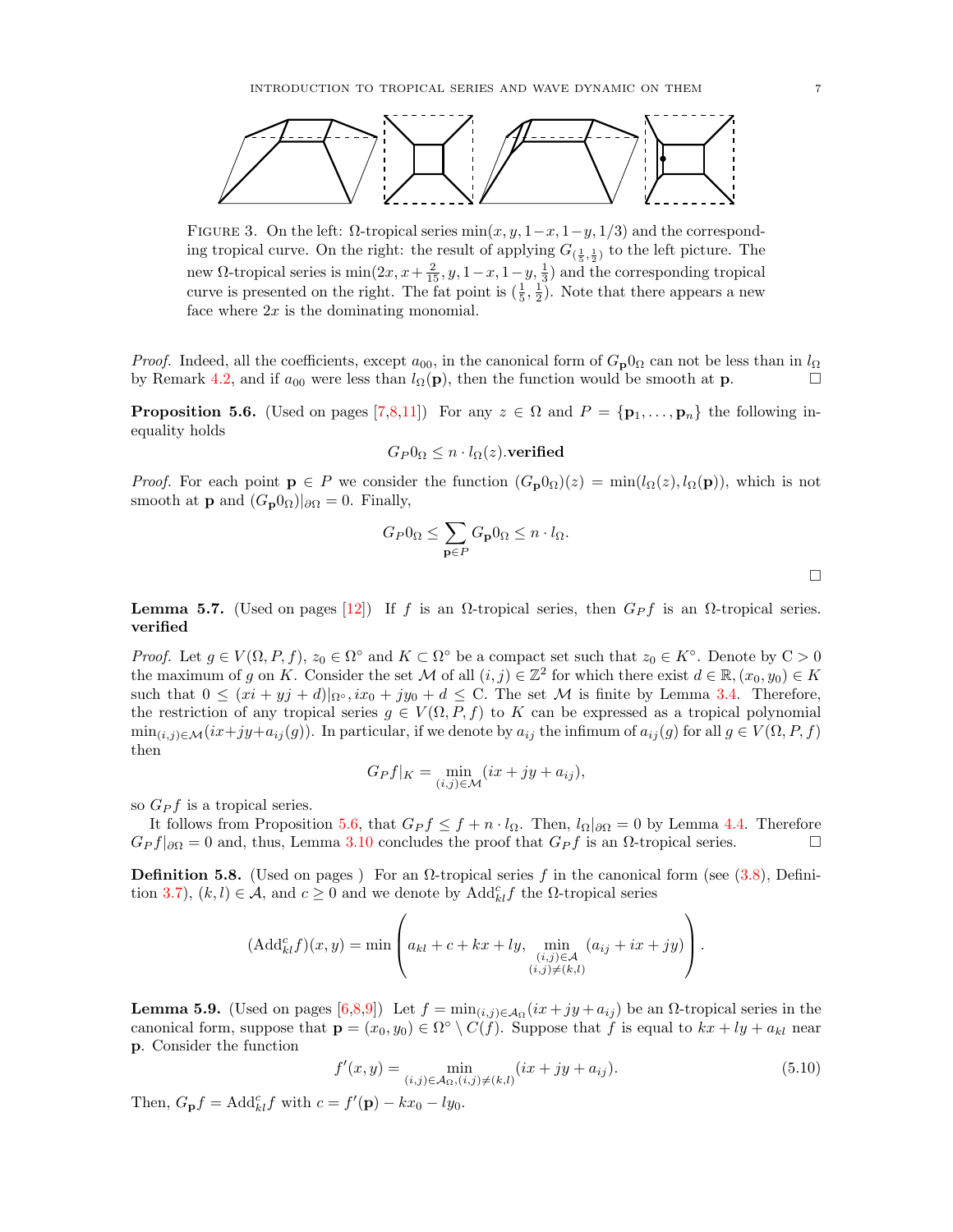<span id="page-6-0"></span>

FIGURE 3. On the left:  $\Omega$ -tropical series min $(x, y, 1-x, 1-y, 1/3)$  and the corresponding tropical curve. On the right: the result of applying  $G_{(\frac{1}{5},\frac{1}{2})}$  to the left picture. The new Ω-tropical series is  $min(2x, x + \frac{2}{15}, y, 1-x, 1-y, \frac{1}{3})$  and the corresponding tropical curve is presented on the right. The fat point is  $(\frac{1}{5}, \frac{1}{2})$ . Note that there appears a new face where  $2x$  is the dominating monomial.

*Proof.* Indeed, all the coefficients, except  $a_{00}$ , in the canonical form of  $G_p0_\Omega$  can not be less than in  $l_\Omega$ by Remark [4.2,](#page-4-5) and if  $a_{00}$  were less than  $l_{\Omega}(\mathbf{p})$ , then the function would be smooth at **p**.

<span id="page-6-2"></span>**Proposition 5.6.** (Used on pages [\[7](#page-6-0)[,8](#page-7-1)[,11\]](#page-10-1)) For any  $z \in \Omega$  and  $P = \{p_1, \ldots, p_n\}$  the following inequality holds

$$
G_P0_\Omega \leq n \cdot l_\Omega(z).
$$
 verified

*Proof.* For each point  $p \in P$  we consider the function  $(G_p 0_\Omega)(z) = \min(l_\Omega(z), l_\Omega(p))$ , which is not smooth at **p** and  $(G_{p}0_{\Omega})|_{\partial\Omega} = 0$ . Finally,

$$
G_P 0_\Omega \le \sum_{\mathbf{p} \in P} G_{\mathbf{p}} 0_\Omega \le n \cdot l_\Omega.
$$

<span id="page-6-4"></span>**Lemma 5.7.** (Used on pages [\[12\]](#page-11-1)) If f is an  $\Omega$ -tropical series, then  $G_P f$  is an  $\Omega$ -tropical series. verified

*Proof.* Let  $g \in V(\Omega, P, f)$ ,  $z_0 \in \Omega^{\circ}$  and  $K \subset \Omega^{\circ}$  be a compact set such that  $z_0 \in K^{\circ}$ . Denote by  $C > 0$ the maximum of g on K. Consider the set M of all  $(i, j) \in \mathbb{Z}^2$  for which there exist  $d \in \mathbb{R}$ ,  $(x_0, y_0) \in K$ such that  $0 \leq (xi + yj + d)|_{\Omega^{\circ}}, ix_0 + jy_0 + d \leq C$ . The set M is finite by Lemma [3.4.](#page-3-1) Therefore, the restriction of any tropical series  $g \in V(\Omega, P, f)$  to K can be expressed as a tropical polynomial  $\min_{(i,j)\in\mathcal{M}}(ix+jy+a_{ij}(g))$ . In particular, if we denote by  $a_{ij}$  the infimum of  $a_{ij}(g)$  for all  $g\in V(\Omega, P, f)$ then

$$
G_P f|_K = \min_{(i,j)\in\mathcal{M}} (ix + jy + a_{ij}),
$$

so  $G_{P}f$  is a tropical series.

It follows from Proposition [5.6,](#page-6-2) that  $G_P f \leq f + n \cdot l_{\Omega}$ . Then,  $l_{\Omega}|_{\partial \Omega} = 0$  by Lemma [4.4.](#page-4-2) Therefore  $G_P f|_{\partial\Omega} = 0$  and, thus, Lemma [3.10](#page-3-4) concludes the proof that  $G_P f$  is an  $\Omega$ -tropical series.

**Definition 5.8.** (Used on pages) For an  $\Omega$ -tropical series f in the canonical form (see [\(3.8\)](#page-3-2), Defini-tion [3.7\)](#page-3-5),  $(k, l) \in \mathcal{A}$ , and  $c \geq 0$  and we denote by  $\text{Add}_{kl}^{c} f$  the  $\Omega$ -tropical series

$$
(\text{Add}_{kl}^c f)(x, y) = \min \left( a_{kl} + c + kx + ly, \min_{\substack{(i,j) \in \mathcal{A} \\ (i,j) \neq (k,l)}} (a_{ij} + ix + jy) \right).
$$

<span id="page-6-1"></span>**Lemma 5.9.** (Used on pages  $[6,8,9]$  $[6,8,9]$  $[6,8,9]$ ) Let  $f = min_{(i,j)\in\mathcal{A}_{\Omega}}(ix+jy+a_{ij})$  be an  $\Omega$ -tropical series in the canonical form, suppose that  $\mathbf{p} = (x_0, y_0) \in \Omega^{\circ} \setminus C(f)$ . Suppose that f is equal to  $kx + ly + a_{kl}$  near p. Consider the function

<span id="page-6-3"></span>
$$
f'(x,y) = \min_{(i,j)\in\mathcal{A}_{\Omega}, (i,j)\neq (k,l)} (ix + jy + a_{ij}).
$$
\n(5.10)

Then,  $G_{\mathbf{p}}f = \text{Add}_{kl}^c f$  with  $c = f'(\mathbf{p}) - kx_0 - ly_0$ .

 $\Box$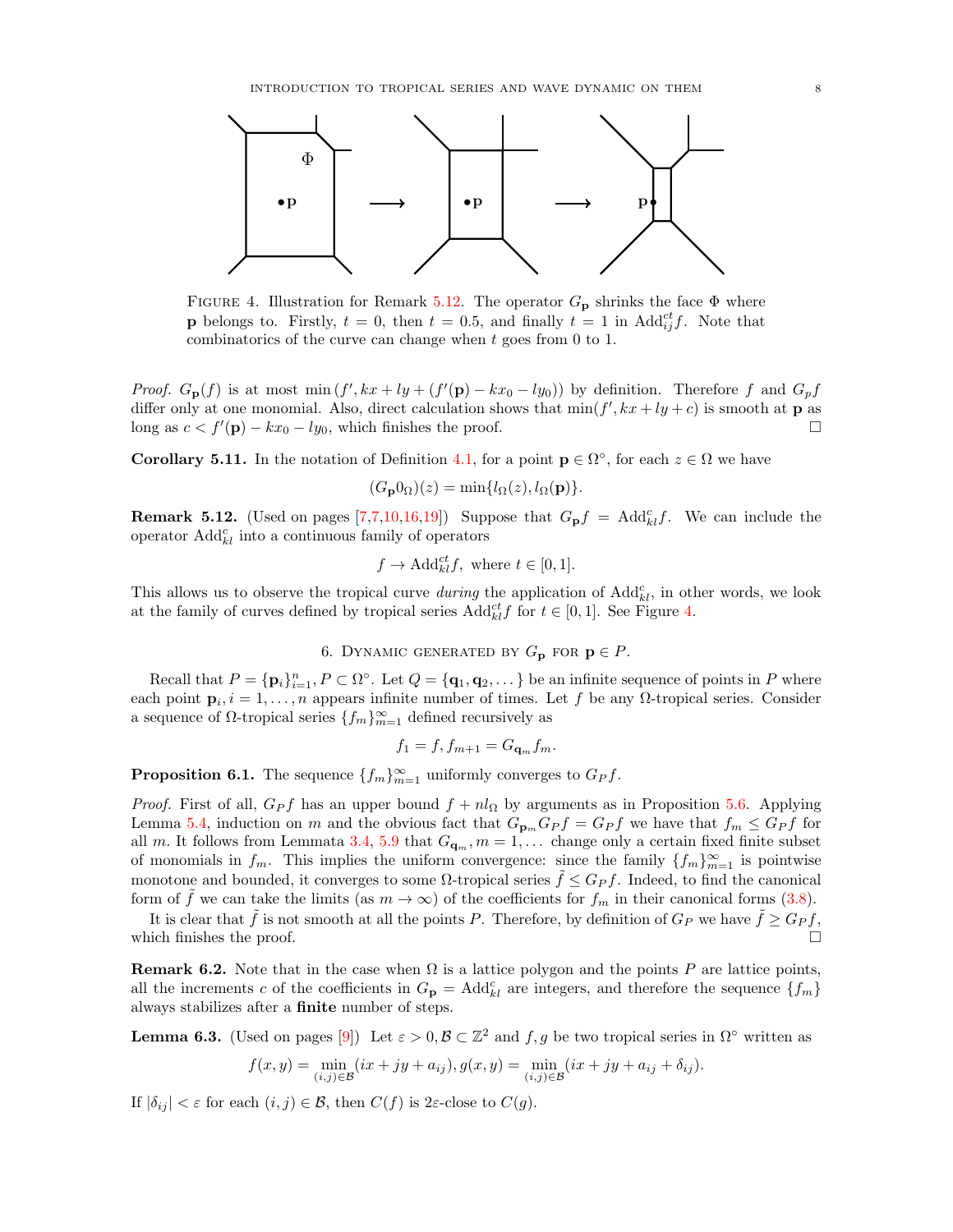<span id="page-7-2"></span><span id="page-7-1"></span>

FIGURE 4. Illustration for Remark [5.12.](#page-7-4) The operator  $G_{\mathbf{p}}$  shrinks the face  $\Phi$  where **p** belongs to. Firstly,  $t = 0$ , then  $t = 0.5$ , and finally  $t = 1$  in Add $_{ij}^{ct}f$ . Note that combinatorics of the curve can change when t goes from 0 to 1.

*Proof.*  $G_{\mathbf{p}}(f)$  is at most min  $(f', kx + ly + (f'(\mathbf{p}) - kx_0 - ly_0))$  by definition. Therefore f and  $G_p f$ differ only at one monomial. Also, direct calculation shows that  $\min(f', kx + ly + c)$  is smooth at **p** as long as  $c < f'(\mathbf{p}) - kx_0 - ly_0$ , which finishes the proof.

**Corollary 5.11.** In the notation of Definition [4.1,](#page-4-4) for a point  $\mathbf{p} \in \Omega^{\circ}$ , for each  $z \in \Omega$  we have

$$
(G_{\mathbf{p}}0_{\Omega})(z) = \min\{l_{\Omega}(z), l_{\Omega}(\mathbf{p})\}.
$$

<span id="page-7-4"></span>**Remark 5.12.** (Used on pages [\[7,7,](#page-6-0)[10](#page-9-1)[,16,](#page-15-3)[19\]](#page-18-1)) Suppose that  $G_{\mathbf{p}}f = \text{Add}_{kl}^cf$ . We can include the operator  $\text{Add}_{kl}^c$  into a continuous family of operators

$$
f \to \text{Add}_{kl}^{ct} f
$$
, where  $t \in [0, 1]$ .

This allows us to observe the tropical curve *during* the application of  $\text{Add}_{kl}^c$ , in other words, we look at the family of curves defined by tropical series  $\text{Add}_{kl}^{ct} f$  for  $t \in [0,1]$ . See Figure [4.](#page-7-2)

# 6. DYNAMIC GENERATED BY  $G_{\mathbf{p}}$  for  $\mathbf{p} \in P$ .

<span id="page-7-0"></span>Recall that  $P = {\{\mathbf{p}_i\}}_{i=1}^n$ ,  $P \subset \Omega^{\circ}$ . Let  $Q = {\{\mathbf{q}_1, \mathbf{q}_2, \dots\}}$  be an infinite sequence of points in P where each point  $\mathbf{p}_i, i = 1, \ldots, n$  appears infinite number of times. Let f be any  $\Omega$ -tropical series. Consider a sequence of  $\Omega$ -tropical series  $\{f_m\}_{m=1}^{\infty}$  defined recursively as

$$
f_1 = f, f_{m+1} = G_{\mathbf{q}_m} f_m.
$$

<span id="page-7-3"></span>**Proposition 6.1.** The sequence  $\{f_m\}_{m=1}^{\infty}$  uniformly converges to  $G_P f$ .

*Proof.* First of all,  $G_P f$  has an upper bound  $f + n l_{\Omega}$  by arguments as in Proposition [5.6.](#page-6-2) Applying Lemma [5.4,](#page-5-2) induction on m and the obvious fact that  $G_{\mathbf{p}_m}G_P f = G_P f$  we have that  $f_m \leq G_P f$  for all m. It follows from Lemmata [3.4,](#page-3-1) [5.9](#page-6-1) that  $G_{\mathbf{q}_m}, m = 1, \ldots$  change only a certain fixed finite subset of monomials in  $f_m$ . This implies the uniform convergence: since the family  $\{f_m\}_{m=1}^\infty$  is pointwise monotone and bounded, it converges to some  $\Omega$ -tropical series  $\hat{f} \leq G_P f$ . Indeed, to find the canonical form of f we can take the limits (as  $m \to \infty$ ) of the coefficients for  $f_m$  in their canonical forms [\(3.8\)](#page-3-2).

It is clear that f is not smooth at all the points P. Therefore, by definition of  $G_P$  we have  $f \geq G_P f$ , which finishes the proof.

**Remark 6.2.** Note that in the case when  $\Omega$  is a lattice polygon and the points P are lattice points, all the increments c of the coefficients in  $G_{\mathbf{p}} = \text{Add}_{kl}^c$  are integers, and therefore the sequence  $\{f_m\}$ always stabilizes after a finite number of steps.

<span id="page-7-5"></span>**Lemma 6.3.** (Used on pages [\[9\]](#page-8-1)) Let  $\varepsilon > 0$ ,  $\mathcal{B} \subset \mathbb{Z}^2$  and  $f, g$  be two tropical series in  $\Omega^{\circ}$  written as

$$
f(x,y) = \min_{(i,j)\in\mathcal{B}} (ix + jy + a_{ij}), g(x,y) = \min_{(i,j)\in\mathcal{B}} (ix + jy + a_{ij} + \delta_{ij}).
$$

If  $|\delta_{ij}| < \varepsilon$  for each  $(i, j) \in \mathcal{B}$ , then  $C(f)$  is 2 $\varepsilon$ -close to  $C(g)$ .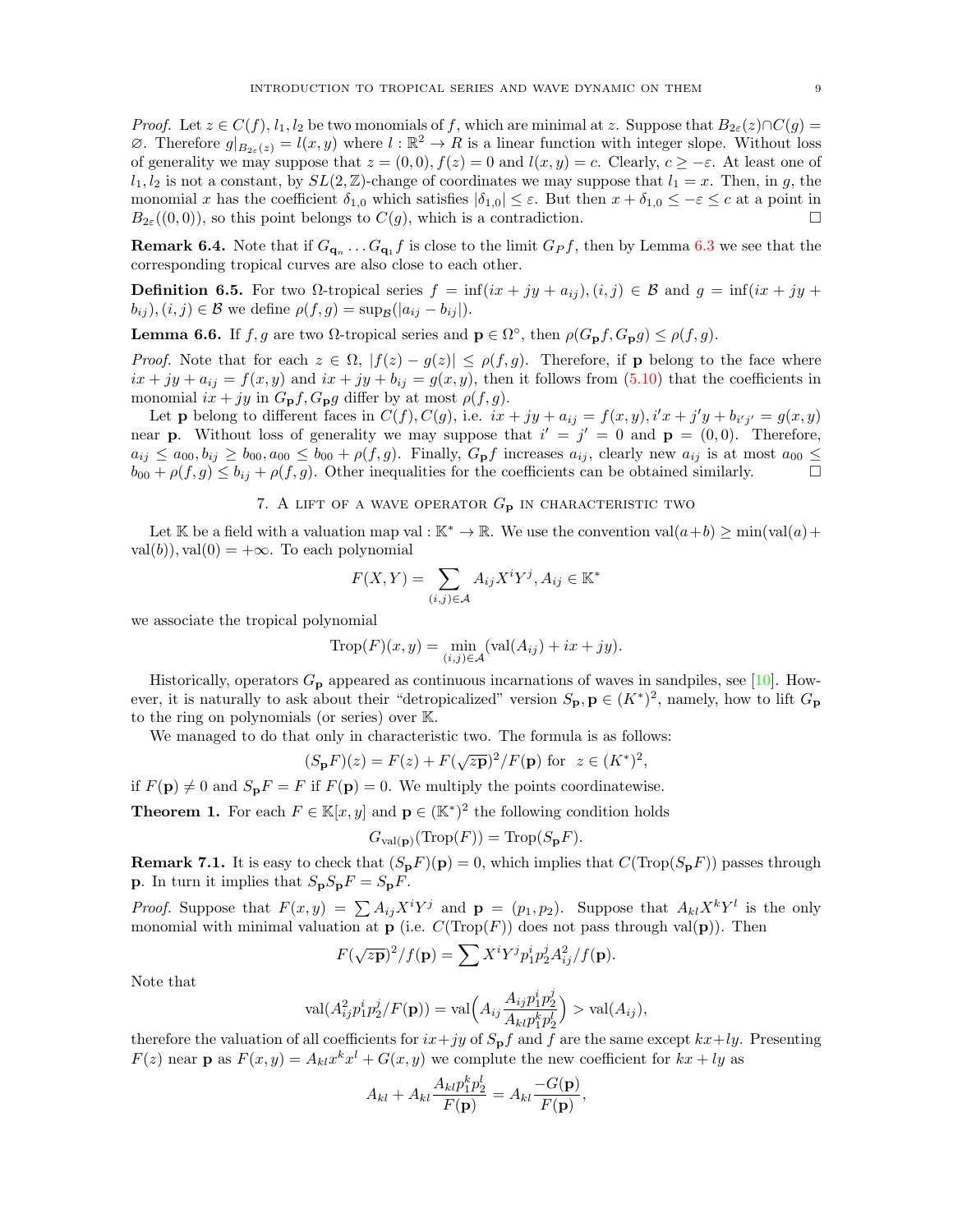<span id="page-8-1"></span>*Proof.* Let  $z \in C(f)$ ,  $l_1, l_2$  be two monomials of f, which are minimal at z. Suppose that  $B_{2\varepsilon}(z) \cap C(g) =$  $\emptyset$ . Therefore  $g|_{B_{2\varepsilon}(z)} = l(x, y)$  where  $l : \mathbb{R}^2 \to R$  is a linear function with integer slope. Without loss of generality we may suppose that  $z = (0, 0), f(z) = 0$  and  $l(x, y) = c$ . Clearly,  $c \geq -\varepsilon$ . At least one of  $l_1, l_2$  is not a constant, by  $SL(2, \mathbb{Z})$ -change of coordinates we may suppose that  $l_1 = x$ . Then, in g, the monomial x has the coefficient  $\delta_{1,0}$  which satisfies  $|\delta_{1,0}| \leq \varepsilon$ . But then  $x + \delta_{1,0} \leq -\varepsilon \leq c$  at a point in  $B_{2\varepsilon}(0,0)$ , so this point belongs to  $C(g)$ , which is a contradiction.

**Remark 6.4.** Note that if  $G_{\mathbf{q}_n} \dots G_{\mathbf{q}_1} f$  is close to the limit  $G_P f$ , then by Lemma [6.3](#page-7-5) we see that the corresponding tropical curves are also close to each other.

**Definition 6.5.** For two  $\Omega$ -tropical series  $f = \inf(ix + jy + a_{ij})$ ,  $(i, j) \in \mathcal{B}$  and  $g = \inf(ix + jy + a_{ij})$  $b_{ij}$ ,  $(i, j) \in \mathcal{B}$  we define  $\rho(f, g) = \sup_{\mathcal{B}}(|a_{ij} - b_{ij}|).$ 

<span id="page-8-2"></span>**Lemma 6.6.** If  $f, g$  are two  $\Omega$ -tropical series and  $\mathbf{p} \in \Omega^{\circ}$ , then  $\rho(G_{\mathbf{p}}f, G_{\mathbf{p}}g) \leq \rho(f, g)$ .

*Proof.* Note that for each  $z \in \Omega$ ,  $|f(z) - g(z)| \le \rho(f, g)$ . Therefore, if **p** belong to the face where  $ix + jy + a_{ij} = f(x, y)$  and  $ix + jy + b_{ij} = g(x, y)$ , then it follows from [\(5.10\)](#page-6-3) that the coefficients in monomial  $ix + jy$  in  $G_{\mathbf{p}}f$ ,  $G_{\mathbf{p}}g$  differ by at most  $\rho(f, g)$ .

Let **p** belong to different faces in  $C(f)$ ,  $C(g)$ , i.e.  $ix + jy + a_{ij} = f(x, y)$ ,  $i'x + j'y + b_{i'j'} = g(x, y)$ near **p**. Without loss of generality we may suppose that  $i' = j' = 0$  and  $\mathbf{p} = (0,0)$ . Therefore,  $a_{ij} \le a_{00}, b_{ij} \ge b_{00}, a_{00} \le b_{00} + \rho(f, g)$ . Finally,  $G_{\mathbf{p}}f$  increases  $a_{ij}$ , clearly new  $a_{ij}$  is at most  $a_{00} \le$  $b_{00} + \rho(f, g) \le b_{ij} + \rho(f, g)$ . Other inequalities for the coefficients can be obtained similarly.

# 7. A LIFT OF A WAVE OPERATOR  $G_{\mathbf{p}}$  in characteristic two

<span id="page-8-0"></span>Let K be a field with a valuation map val : K<sup>\*</sup>  $\rightarrow \mathbb{R}$ . We use the convention val $(a+b) \ge \min(\text{val}(a)+$  $val(b)$ ,  $val(0) = +\infty$ . To each polynomial

$$
F(X,Y) = \sum_{(i,j)\in\mathcal{A}} A_{ij} X^i Y^j, A_{ij} \in \mathbb{K}^*
$$

we associate the tropical polynomial

$$
\operatorname{Trop}(F)(x, y) = \min_{(i,j)\in\mathcal{A}} (\operatorname{val}(A_{ij}) + ix + jy).
$$

Historically, operators  $G_p$  appeared as continuous incarnations of waves in sandpiles, see [\[10\]](#page-19-0). However, it is naturally to ask about their "detropicalized" version  $S_{\mathbf{p}}, \mathbf{p} \in (K^*)^2$ , namely, how to lift  $G_{\mathbf{p}}$ to the ring on polynomials (or series) over K.

We managed to do that only in characteristic two. The formula is as follows:

$$
(S_{\mathbf{p}}F)(z) = F(z) + F(\sqrt{zp})^2/F(\mathbf{p})
$$
 for  $z \in (K^*)^2$ ,

if  $F(\mathbf{p}) \neq 0$  and  $S_{\mathbf{p}}F = F$  if  $F(\mathbf{p}) = 0$ . We multiply the points coordinatewise.

**Theorem 1.** For each  $F \in \mathbb{K}[x, y]$  and  $\mathbf{p} \in (\mathbb{K}^*)^2$  the following condition holds

$$
G_{\text{val}(\mathbf{p})}(\text{Trop}(F)) = \text{Trop}(S_{\mathbf{p}}F).
$$

**Remark 7.1.** It is easy to check that  $(S_pF)(p) = 0$ , which implies that  $C(Trop(S_pF))$  passes through **p**. In turn it implies that  $S_pS_pF = S_pF$ .

*Proof.* Suppose that  $F(x,y) = \sum A_{ij} X^i Y^j$  and  $p = (p_1, p_2)$ . Suppose that  $A_{kl} X^k Y^l$  is the only monomial with minimal valuation at **p** (i.e.  $C(Trop(F))$  does not pass through val(**p**)). Then

$$
F(\sqrt{zp})^2/f(\mathbf{p}) = \sum X^i Y^j p_1^i p_2^j A_{ij}^2/f(\mathbf{p}).
$$

Note that

$$
\text{val}(A_{ij}^2 p_1^i p_2^j / F(\mathbf{p})) = \text{val}\Big(A_{ij} \frac{A_{ij} p_1^i p_2^j}{A_{kl} p_1^k p_2^l}\Big) > \text{val}(A_{ij}),
$$

therefore the valuation of all coefficients for  $ix+jy$  of  $S_{p}f$  and f are the same except  $kx+ly$ . Presenting  $F(z)$  near **p** as  $F(x, y) = A_{kl}x^kx^l + G(x, y)$  we complute the new coefficient for  $kx + ly$  as

$$
A_{kl} + A_{kl} \frac{A_{kl} p_1^k p_2^l}{F(\mathbf{p})} = A_{kl} \frac{-G(\mathbf{p})}{F(\mathbf{p})},
$$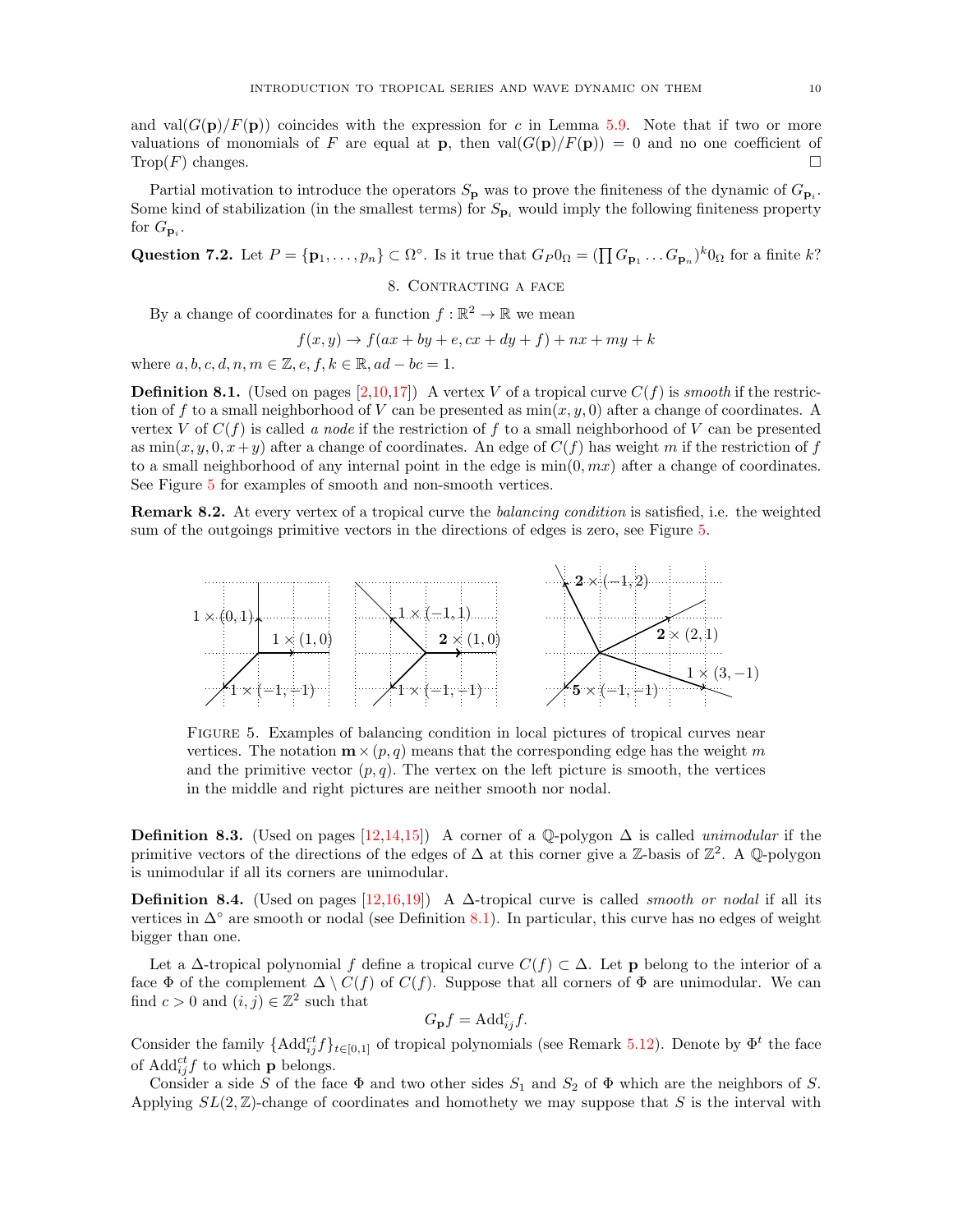<span id="page-9-1"></span>and val $(G(p)/F(p))$  coincides with the expression for c in Lemma [5.9.](#page-6-1) Note that if two or more valuations of monomials of F are equal at **p**, then  $\text{val}(G(\mathbf{p})/F(\mathbf{p})) = 0$  and no one coefficient of  $\text{Trop}(F)$  changes.

Partial motivation to introduce the operators  $S_{\bf p}$  was to prove the finiteness of the dynamic of  $G_{\bf p_i}$ . Some kind of stabilization (in the smallest terms) for  $S_{\mathbf{p}_i}$  would imply the following finiteness property for  $G_{\mathbf{p}_i}$ .

Question 7.2. Let  $P = {\mathbf{p}_1, ..., p_n} \subset \Omega^{\circ}$ . Is it true that  $G_P 0_\Omega = (\prod G_{\mathbf{p}_1} ... G_{\mathbf{p}_n})^k 0_\Omega$  for a finite k?

### 8. CONTRACTING A FACE

By a change of coordinates for a function  $f : \mathbb{R}^2 \to \mathbb{R}$  we mean

$$
f(x,y) \rightarrow f(ax + by + e, cx + dy + f) + nx + my + k
$$

where  $a, b, c, d, n, m \in \mathbb{Z}, e, f, k \in \mathbb{R}, ad - bc = 1.$ 

<span id="page-9-0"></span>**Definition 8.1.** (Used on pages [\[2,](#page-1-1)[10](#page-9-1)[,17\]](#page-16-1)) A vertex V of a tropical curve  $C(f)$  is smooth if the restriction of f to a small neighborhood of V can be presented as  $min(x, y, 0)$  after a change of coordinates. A vertex V of  $C(f)$  is called a node if the restriction of f to a small neighborhood of V can be presented as  $\min(x, y, 0, x+y)$  after a change of coordinates. An edge of  $C(f)$  has weight m if the restriction of f to a small neighborhood of any internal point in the edge is  $\min(0, mx)$  after a change of coordinates. See Figure [5](#page-9-2) for examples of smooth and non-smooth vertices.

Remark 8.2. At every vertex of a tropical curve the balancing condition is satisfied, i.e. the weighted sum of the outgoings primitive vectors in the directions of edges is zero, see Figure [5.](#page-9-2)

<span id="page-9-2"></span>

Figure 5. Examples of balancing condition in local pictures of tropical curves near vertices. The notation  $\mathbf{m} \times (p, q)$  means that the corresponding edge has the weight m and the primitive vector  $(p, q)$ . The vertex on the left picture is smooth, the vertices in the middle and right pictures are neither smooth nor nodal.

<span id="page-9-3"></span>**Definition 8.3.** (Used on pages [\[12](#page-11-1)[,14,](#page-13-0)[15\]](#page-14-1)) A corner of a Q-polygon  $\Delta$  is called *unimodular* if the primitive vectors of the directions of the edges of  $\Delta$  at this corner give a Z-basis of  $\mathbb{Z}^2$ . A Q-polygon is unimodular if all its corners are unimodular.

<span id="page-9-4"></span>**Definition 8.4.** (Used on pages [\[12,](#page-11-1)[16](#page-15-3)[,19\]](#page-18-1)) A  $\Delta$ -tropical curve is called *smooth or nodal* if all its vertices in  $\Delta^{\circ}$  are smooth or nodal (see Definition [8.1\)](#page-9-0). In particular, this curve has no edges of weight bigger than one.

Let a  $\Delta$ -tropical polynomial f define a tropical curve  $C(f) \subset \Delta$ . Let **p** belong to the interior of a face  $\Phi$  of the complement  $\Delta \setminus C(f)$  of  $C(f)$ . Suppose that all corners of  $\Phi$  are unimodular. We can find  $c > 0$  and  $(i, j) \in \mathbb{Z}^2$  such that

$$
G_{\mathbf{p}}f = \mathrm{Add}_{ij}^c f.
$$

Consider the family  $\{\text{Add}_{ij}^{ct}f\}_{t\in[0,1]}$  of tropical polynomials (see Remark [5.12\)](#page-7-4). Denote by  $\Phi^t$  the face of  $\text{Add}_{ij}^{ct} f$  to which **p** belongs.

Consider a side S of the face  $\Phi$  and two other sides  $S_1$  and  $S_2$  of  $\Phi$  which are the neighbors of S. Applying  $SL(2, \mathbb{Z})$ -change of coordinates and homothety we may suppose that S is the interval with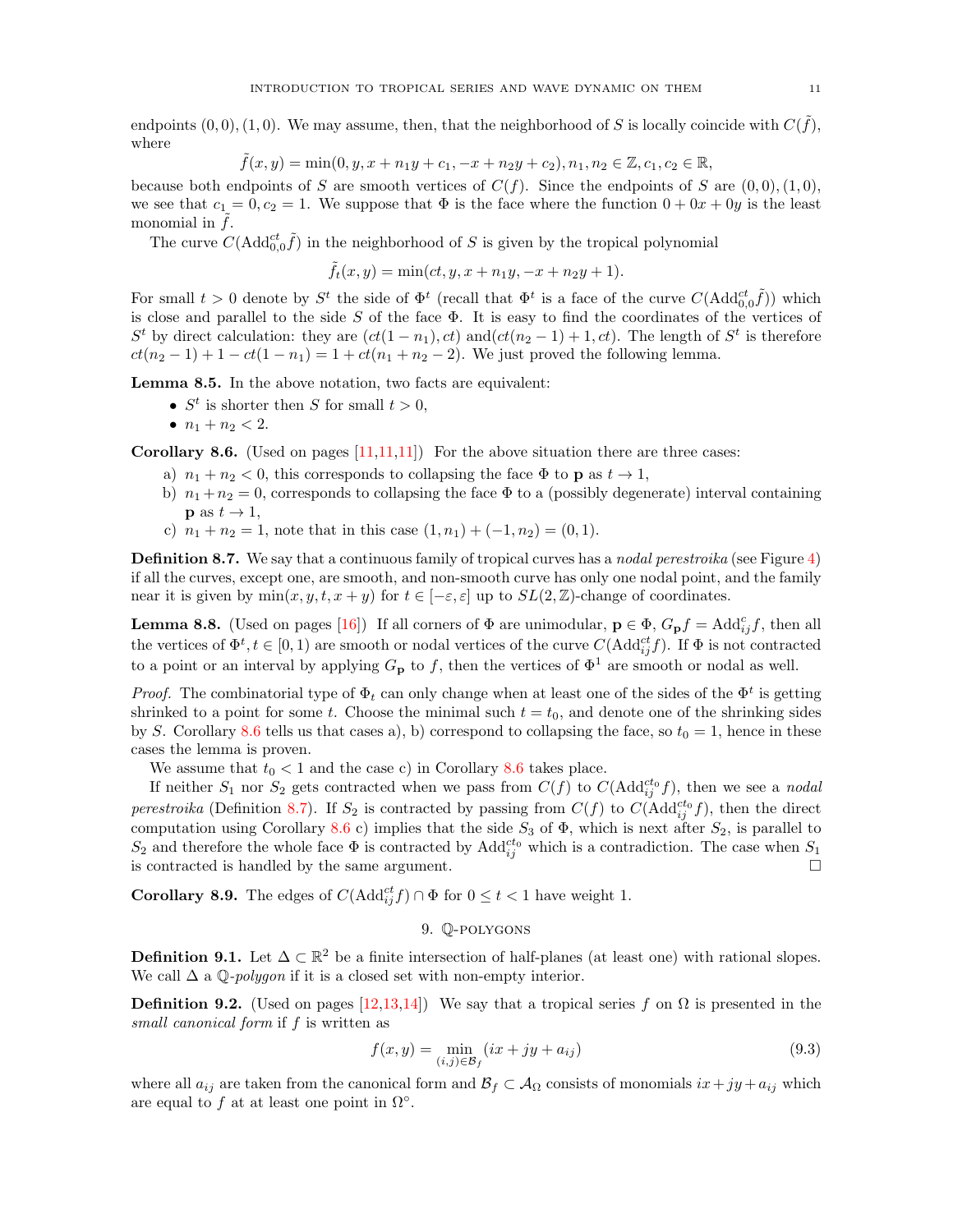<span id="page-10-1"></span>endpoints  $(0,0), (1,0)$ . We may assume, then, that the neighborhood of S is locally coincide with  $C(\tilde{f})$ , where

$$
\tilde{f}(x,y) = \min(0, y, x + n_1y + c_1, -x + n_2y + c_2), n_1, n_2 \in \mathbb{Z}, c_1, c_2 \in \mathbb{R},
$$

because both endpoints of S are smooth vertices of  $C(f)$ . Since the endpoints of S are  $(0, 0), (1, 0),$ we see that  $c_1 = 0, c_2 = 1$ . We suppose that  $\Phi$  is the face where the function  $0 + 0x + 0y$  is the least monomial in  $f$ .

The curve  $C(\text{Add}_{0,0}^{ct}\tilde{f})$  in the neighborhood of S is given by the tropical polynomial

$$
\tilde{f}_t(x,y) = \min(ct, y, x + n_1y, -x + n_2y + 1).
$$

For small  $t > 0$  denote by  $S^t$  the side of  $\Phi^t$  (recall that  $\Phi^t$  is a face of the curve  $C(\text{Add}_{0,0}^{ct} \tilde{f})$ ) which is close and parallel to the side  $S$  of the face  $\Phi$ . It is easy to find the coordinates of the vertices of  $S<sup>t</sup>$  by direct calculation: they are  $(ct(1-n_1), ct)$  and $(ct(n_2-1)+1, ct)$ . The length of  $S<sup>t</sup>$  is therefore  $ct(n_2 - 1) + 1 - ct(1 - n_1) = 1 + ct(n_1 + n_2 - 2)$ . We just proved the following lemma.

Lemma 8.5. In the above notation, two facts are equivalent:

- $S^t$  is shorter then S for small  $t > 0$ ,
- $n_1 + n_2 < 2$ .

<span id="page-10-2"></span>**Corollary 8.6.** (Used on pages  $[11,11,11]$ ) For the above situation there are three cases:

- a)  $n_1 + n_2 < 0$ , this corresponds to collapsing the face  $\Phi$  to p as  $t \to 1$ ,
- b)  $n_1 + n_2 = 0$ , corresponds to collapsing the face  $\Phi$  to a (possibly degenerate) interval containing  $\mathbf{p}$  as  $t \to 1$ ,
- c)  $n_1 + n_2 = 1$ , note that in this case  $(1, n_1) + (-1, n_2) = (0, 1)$ .

<span id="page-10-3"></span>Definition 8.7. We say that a continuous family of tropical curves has a nodal perestroika (see Figure [4\)](#page-7-2) if all the curves, except one, are smooth, and non-smooth curve has only one nodal point, and the family near it is given by  $\min(x, y, t, x + y)$  for  $t \in [-\varepsilon, \varepsilon]$  up to  $SL(2, \mathbb{Z})$ -change of coordinates.

<span id="page-10-5"></span>**Lemma 8.8.** (Used on pages [\[16\]](#page-15-3)) If all corners of  $\Phi$  are unimodular,  $\mathbf{p} \in \Phi$ ,  $G_{\mathbf{p}}f = \text{Add}_{ij}^c f$ , then all the vertices of  $\Phi^t, t \in [0, 1)$  are smooth or nodal vertices of the curve  $C(\text{Add}_{ij}^{ct} f)$ . If  $\Phi$  is not contracted to a point or an interval by applying  $G_{\mathbf{p}}$  to f, then the vertices of  $\Phi^1$  are smooth or nodal as well.

*Proof.* The combinatorial type of  $\Phi_t$  can only change when at least one of the sides of the  $\Phi^t$  is getting shrinked to a point for some t. Choose the minimal such  $t = t_0$ , and denote one of the shrinking sides by S. Corollary [8.6](#page-10-2) tells us that cases a), b) correspond to collapsing the face, so  $t_0 = 1$ , hence in these cases the lemma is proven.

We assume that  $t_0 < 1$  and the case c) in Corollary [8.6](#page-10-2) takes place.

If neither  $S_1$  nor  $S_2$  gets contracted when we pass from  $C(f)$  to  $C(\text{Add}_{ij}^{ct_0}f)$ , then we see a nodal perestroika (Definition [8.7\)](#page-10-3). If  $S_2$  is contracted by passing from  $C(f)$  to  $C(\text{Add}_{ij}^{ct_0}f)$ , then the direct computation using Corollary [8.6](#page-10-2) c) implies that the side  $S_3$  of  $\Phi$ , which is next after  $S_2$ , is parallel to  $S_2$  and therefore the whole face  $\Phi$  is contracted by Add<sup>cto</sup> which is a contradiction. The case when  $S_1$ is contracted is handled by the same argument.

**Corollary 8.9.** The edges of  $C(\text{Add}_{ij}^{ct} f) \cap \Phi$  for  $0 \leq t < 1$  have weight 1.

### 9. Q-polygons

<span id="page-10-0"></span>**Definition 9.1.** Let  $\Delta \subset \mathbb{R}^2$  be a finite intersection of half-planes (at least one) with rational slopes. We call  $\Delta$  a Q-*polygon* if it is a closed set with non-empty interior.

<span id="page-10-4"></span>**Definition 9.2.** (Used on pages [\[12](#page-11-1)[,13,](#page-12-0)[14\]](#page-13-0)) We say that a tropical series f on  $\Omega$  is presented in the small canonical form if f is written as

$$
f(x,y) = \min_{(i,j)\in\mathcal{B}_f} (ix + jy + a_{ij})
$$
\n(9.3)

where all  $a_{ij}$  are taken from the canonical form and  $\mathcal{B}_f \subset \mathcal{A}_{\Omega}$  consists of monomials  $ix + jy + a_{ij}$  which are equal to f at at least one point in  $\Omega^{\circ}$ .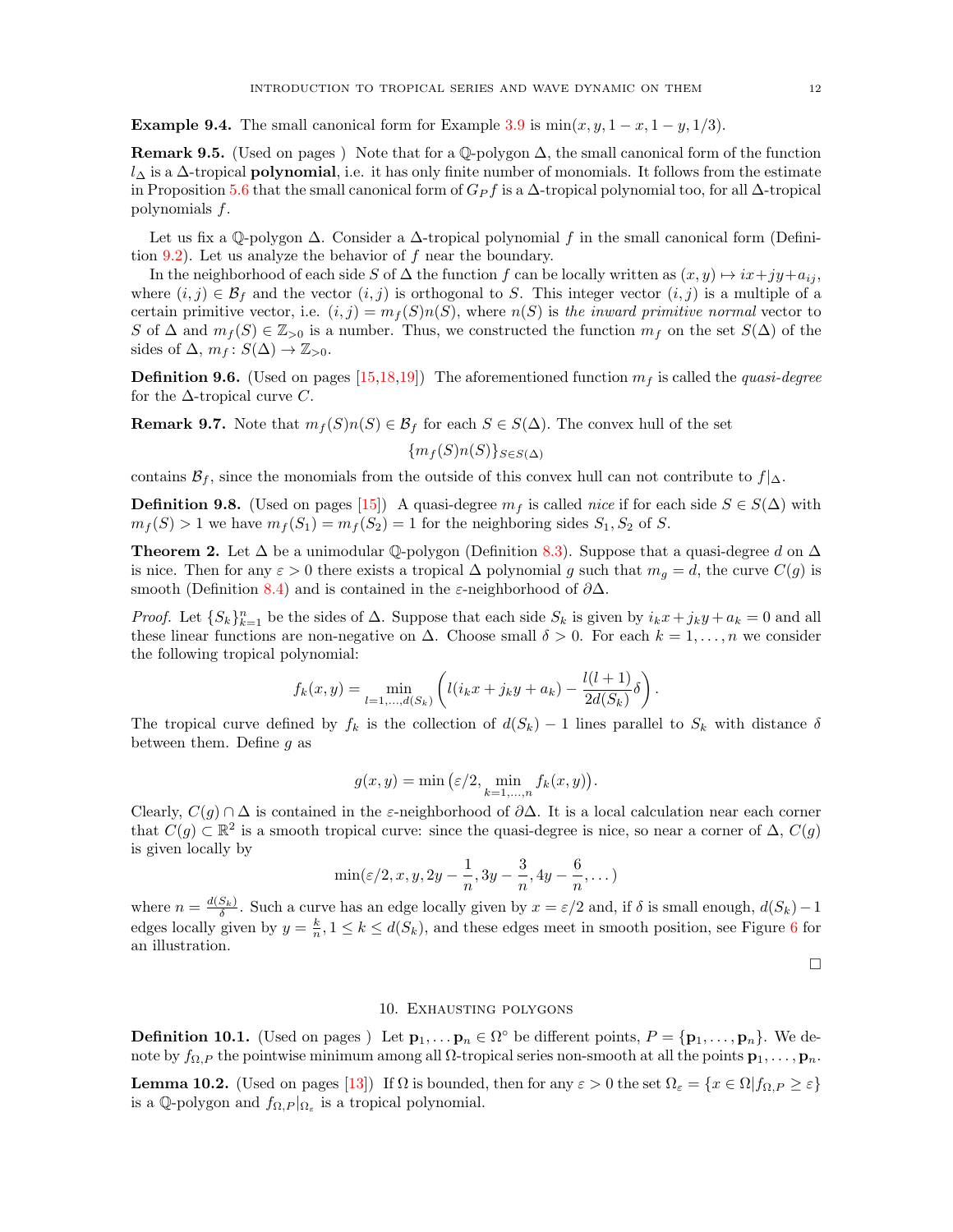<span id="page-11-1"></span>**Example 9.4.** The small canonical form for Example [3.9](#page-3-6) is  $\min(x, y, 1-x, 1-y, 1/3)$ .

**Remark 9.5.** (Used on pages) Note that for a Q-polygon  $\Delta$ , the small canonical form of the function  $l_{\Delta}$  is a  $\Delta$ -tropical **polynomial**, i.e. it has only finite number of monomials. It follows from the estimate in Proposition [5.6](#page-6-2) that the small canonical form of  $G_P f$  is a  $\Delta$ -tropical polynomial too, for all  $\Delta$ -tropical polynomials f.

Let us fix a Q-polygon  $\Delta$ . Consider a  $\Delta$ -tropical polynomial f in the small canonical form (Definition  $9.2$ ). Let us analyze the behavior of f near the boundary.

In the neighborhood of each side S of  $\Delta$  the function f can be locally written as  $(x, y) \mapsto ix + jy + a_{ij}$ , where  $(i, j) \in \mathcal{B}_f$  and the vector  $(i, j)$  is orthogonal to S. This integer vector  $(i, j)$  is a multiple of a certain primitive vector, i.e.  $(i, j) = m_f(S)n(S)$ , where  $n(S)$  is the inward primitive normal vector to S of  $\Delta$  and  $m_f(S) \in \mathbb{Z}_{>0}$  is a number. Thus, we constructed the function  $m_f$  on the set  $S(\Delta)$  of the sides of  $\Delta$ ,  $m_f: S(\Delta) \rightarrow \mathbb{Z}_{>0}$ .

<span id="page-11-4"></span>**Definition 9.6.** (Used on pages [\[15](#page-14-1)[,18,](#page-17-0)[19\]](#page-18-1)) The aforementioned function  $m<sub>f</sub>$  is called the *quasi-degree* for the  $\Delta$ -tropical curve C.

**Remark 9.7.** Note that  $m_f(S)n(S) \in \mathcal{B}_f$  for each  $S \in S(\Delta)$ . The convex hull of the set

 ${m_f(S)n(S)}_{S\in S(\Delta)}$ 

contains  $\mathcal{B}_f$ , since the monomials from the outside of this convex hull can not contribute to  $f|_{\Delta}$ .

<span id="page-11-5"></span>**Definition 9.8.** (Used on pages [\[15\]](#page-14-1)) A quasi-degree  $m_f$  is called *nice* if for each side  $S \in S(\Delta)$  with  $m_f(S) > 1$  we have  $m_f(S_1) = m_f(S_2) = 1$  for the neighboring sides  $S_1, S_2$  of S.

<span id="page-11-2"></span>**Theorem 2.** Let  $\Delta$  be a unimodular  $\mathbb{Q}$ -polygon (Definition [8.3\)](#page-9-3). Suppose that a quasi-degree d on  $\Delta$ is nice. Then for any  $\varepsilon > 0$  there exists a tropical  $\Delta$  polynomial g such that  $m_q = d$ , the curve  $C(g)$  is smooth (Definition [8.4\)](#page-9-4) and is contained in the  $\varepsilon$ -neighborhood of  $\partial \Delta$ .

*Proof.* Let  ${S_k}_{k=1}^n$  be the sides of  $\Delta$ . Suppose that each side  $S_k$  is given by  $i_k x + j_k y + a_k = 0$  and all these linear functions are non-negative on  $\Delta$ . Choose small  $\delta > 0$ . For each  $k = 1, \ldots, n$  we consider the following tropical polynomial:

$$
f_k(x,y) = \min_{l=1,\dots,d(S_k)} \left( l(i_k x + j_k y + a_k) - \frac{l(l+1)}{2d(S_k)} \delta \right).
$$

The tropical curve defined by  $f_k$  is the collection of  $d(S_k) - 1$  lines parallel to  $S_k$  with distance  $\delta$ between them. Define  $g$  as

$$
g(x,y) = \min\left(\varepsilon/2, \min_{k=1,\dots,n} f_k(x,y)\right).
$$

Clearly,  $C(g) \cap \Delta$  is contained in the  $\varepsilon$ -neighborhood of  $\partial \Delta$ . It is a local calculation near each corner that  $C(g) \subset \mathbb{R}^2$  is a smooth tropical curve: since the quasi-degree is nice, so near a corner of  $\Delta$ ,  $C(g)$ is given locally by

$$
\min(\varepsilon/2, x, y, 2y - \frac{1}{n}, 3y - \frac{3}{n}, 4y - \frac{6}{n}, \dots)
$$

where  $n = \frac{d(S_k)}{\delta}$ . Such a curve has an edge locally given by  $x = \varepsilon/2$  and, if  $\delta$  is small enough,  $d(S_k) - 1$ edges locally given by  $y = \frac{k}{n}$ ,  $1 \le k \le d(S_k)$ , and these edges meet in smooth position, see Figure [6](#page-12-1) for an illustration.

 $\Box$ 

### 10. Exhausting polygons

<span id="page-11-0"></span>**Definition 10.1.** (Used on pages) Let  $\mathbf{p}_1, \ldots, \mathbf{p}_n \in \Omega^{\circ}$  be different points,  $P = {\mathbf{p}_1, \ldots, \mathbf{p}_n}$ . We denote by  $f_{\Omega,P}$  the pointwise minimum among all  $\Omega$ -tropical series non-smooth at all the points  $\mathbf{p}_1, \ldots, \mathbf{p}_n$ .

<span id="page-11-3"></span>**Lemma 10.2.** (Used on pages [\[13\]](#page-12-0)) If  $\Omega$  is bounded, then for any  $\varepsilon > 0$  the set  $\Omega_{\varepsilon} = \{x \in \Omega | f_{\Omega,P} \geq \varepsilon\}$ is a Q-polygon and  $f_{\Omega,P}|_{\Omega_{\varepsilon}}$  is a tropical polynomial.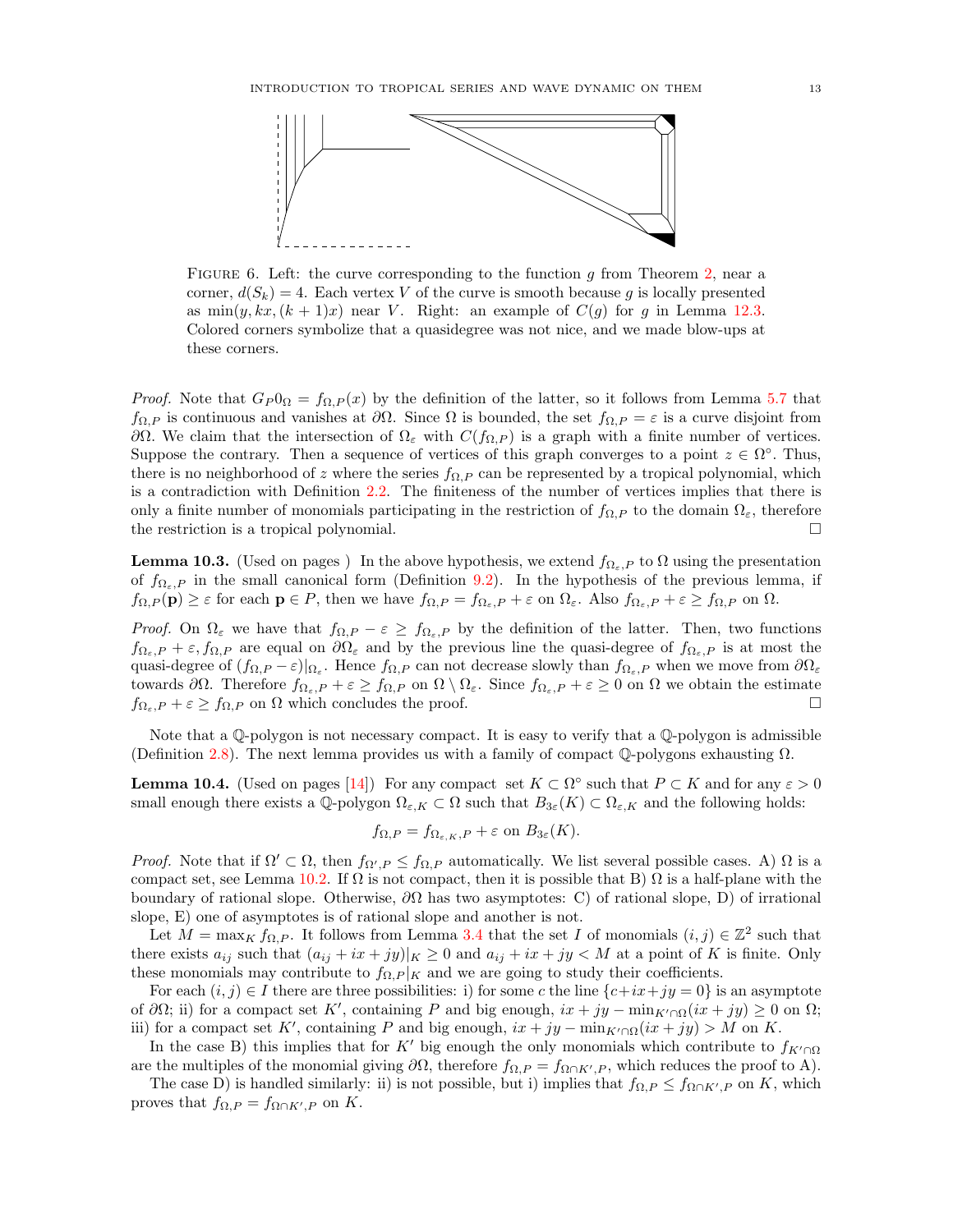<span id="page-12-1"></span><span id="page-12-0"></span>

FIGURE 6. Left: the curve corresponding to the function g from Theorem [2,](#page-11-2) near a corner,  $d(S_k) = 4$ . Each vertex V of the curve is smooth because g is locally presented as  $\min(y, kx, (k+1)x)$  near V. Right: an example of  $C(q)$  for q in Lemma [12.3.](#page-14-2) Colored corners symbolize that a quasidegree was not nice, and we made blow-ups at these corners.

*Proof.* Note that  $G_P 0_\Omega = f_{\Omega,P}(x)$  by the definition of the latter, so it follows from Lemma [5.7](#page-6-4) that  $f_{\Omega,P}$  is continuous and vanishes at  $\partial\Omega$ . Since  $\Omega$  is bounded, the set  $f_{\Omega,P} = \varepsilon$  is a curve disjoint from  $\partial\Omega$ . We claim that the intersection of  $\Omega_{\varepsilon}$  with  $C(f_{\Omega,P})$  is a graph with a finite number of vertices. Suppose the contrary. Then a sequence of vertices of this graph converges to a point  $z \in \Omega^{\circ}$ . Thus, there is no neighborhood of z where the series  $f_{\Omega,P}$  can be represented by a tropical polynomial, which is a contradiction with Definition [2.2.](#page-1-2) The finiteness of the number of vertices implies that there is only a finite number of monomials participating in the restriction of  $f_{\Omega,P}$  to the domain  $\Omega_{\varepsilon}$ , therefore the restriction is a tropical polynomial.

**Lemma 10.3.** (Used on pages) In the above hypothesis, we extend  $f_{\Omega_{\varepsilon},P}$  to  $\Omega$  using the presentation of  $f_{\Omega_{\varepsilon},P}$  in the small canonical form (Definition [9.2\)](#page-10-4). In the hypothesis of the previous lemma, if  $f_{\Omega,P}(\mathbf{p}) \geq \varepsilon$  for each  $\mathbf{p} \in P$ , then we have  $f_{\Omega,P} = f_{\Omega_{\varepsilon},P} + \varepsilon$  on  $\Omega_{\varepsilon}$ . Also  $f_{\Omega_{\varepsilon},P} + \varepsilon \geq f_{\Omega,P}$  on  $\Omega$ .

Proof. On  $\Omega_{\varepsilon}$  we have that  $f_{\Omega,P} - \varepsilon \geq f_{\Omega_{\varepsilon},P}$  by the definition of the latter. Then, two functions  $f_{\Omega_{\varepsilon},P} + \varepsilon, f_{\Omega,P}$  are equal on  $\partial\Omega_{\varepsilon}$  and by the previous line the quasi-degree of  $f_{\Omega_{\varepsilon},P}$  is at most the quasi-degree of  $(f_{\Omega,P} - \varepsilon)|_{\Omega_{\varepsilon}}$ . Hence  $f_{\Omega,P}$  can not decrease slowly than  $f_{\Omega_{\varepsilon},P}$  when we move from  $\partial\Omega_{\varepsilon}$ towards  $\partial\Omega$ . Therefore  $f_{\Omega_{\varepsilon},P} + \varepsilon \geq f_{\Omega,P}$  on  $\Omega \setminus \Omega_{\varepsilon}$ . Since  $f_{\Omega_{\varepsilon},P} + \varepsilon \geq 0$  on  $\Omega$  we obtain the estimate  $f_{\Omega_{\varepsilon},P} + \varepsilon \ge f_{\Omega,P}$  on  $\Omega$  which concludes the proof.

Note that a Q-polygon is not necessary compact. It is easy to verify that a Q-polygon is admissible (Definition [2.8\)](#page-2-0). The next lemma provides us with a family of compact  $\mathbb{Q}$ -polygons exhausting  $\Omega$ .

<span id="page-12-2"></span>**Lemma 10.4.** (Used on pages [\[14\]](#page-13-0)) For any compact set  $K \subset \Omega^{\circ}$  such that  $P \subset K$  and for any  $\varepsilon > 0$ small enough there exists a Q-polygon  $\Omega_{\varepsilon,K} \subset \Omega$  such that  $B_{3\varepsilon}(K) \subset \Omega_{\varepsilon,K}$  and the following holds:

$$
f_{\Omega,P} = f_{\Omega_{\varepsilon,K},P} + \varepsilon
$$
 on  $B_{3\varepsilon}(K)$ .

Proof. Note that if  $\Omega' \subset \Omega$ , then  $f_{\Omega',P} \leq f_{\Omega,P}$  automatically. We list several possible cases. A)  $\Omega$  is a compact set, see Lemma [10.2.](#page-11-3) If  $\Omega$  is not compact, then it is possible that B)  $\Omega$  is a half-plane with the boundary of rational slope. Otherwise,  $\partial\Omega$  has two asymptotes: C) of rational slope, D) of irrational slope, E) one of asymptotes is of rational slope and another is not.

Let  $M = \max_K f_{\Omega,P}$ . It follows from Lemma [3.4](#page-3-1) that the set I of monomials  $(i, j) \in \mathbb{Z}^2$  such that there exists  $a_{ij}$  such that  $(a_{ij} + ix + jy)|_K \geq 0$  and  $a_{ij} + ix + jy < M$  at a point of K is finite. Only these monomials may contribute to  $f_{\Omega,P}|_K$  and we are going to study their coefficients.

For each  $(i, j) \in I$  there are three possibilities: i) for some c the line  $\{c+ix+jy=0\}$  is an asymptote of  $\partial\Omega$ ; ii) for a compact set K', containing P and big enough,  $ix + jy - \min_{K'\cap\Omega}(ix + jy) \geq 0$  on  $\Omega$ ; iii) for a compact set K', containing P and big enough,  $ix + jy - \min_{K' \cap \Omega} (ix + jy) > M$  on K.

In the case B) this implies that for K' big enough the only monomials which contribute to  $f_{K' \cap \Omega}$ are the multiples of the monomial giving  $\partial\Omega$ , therefore  $f_{\Omega,P} = f_{\Omega \cap K',P}$ , which reduces the proof to A).

The case D) is handled similarly: ii) is not possible, but i) implies that  $f_{\Omega,P} \leq f_{\Omega \cap K',P}$  on K, which proves that  $f_{\Omega,P} = f_{\Omega \cap K',P}$  on K.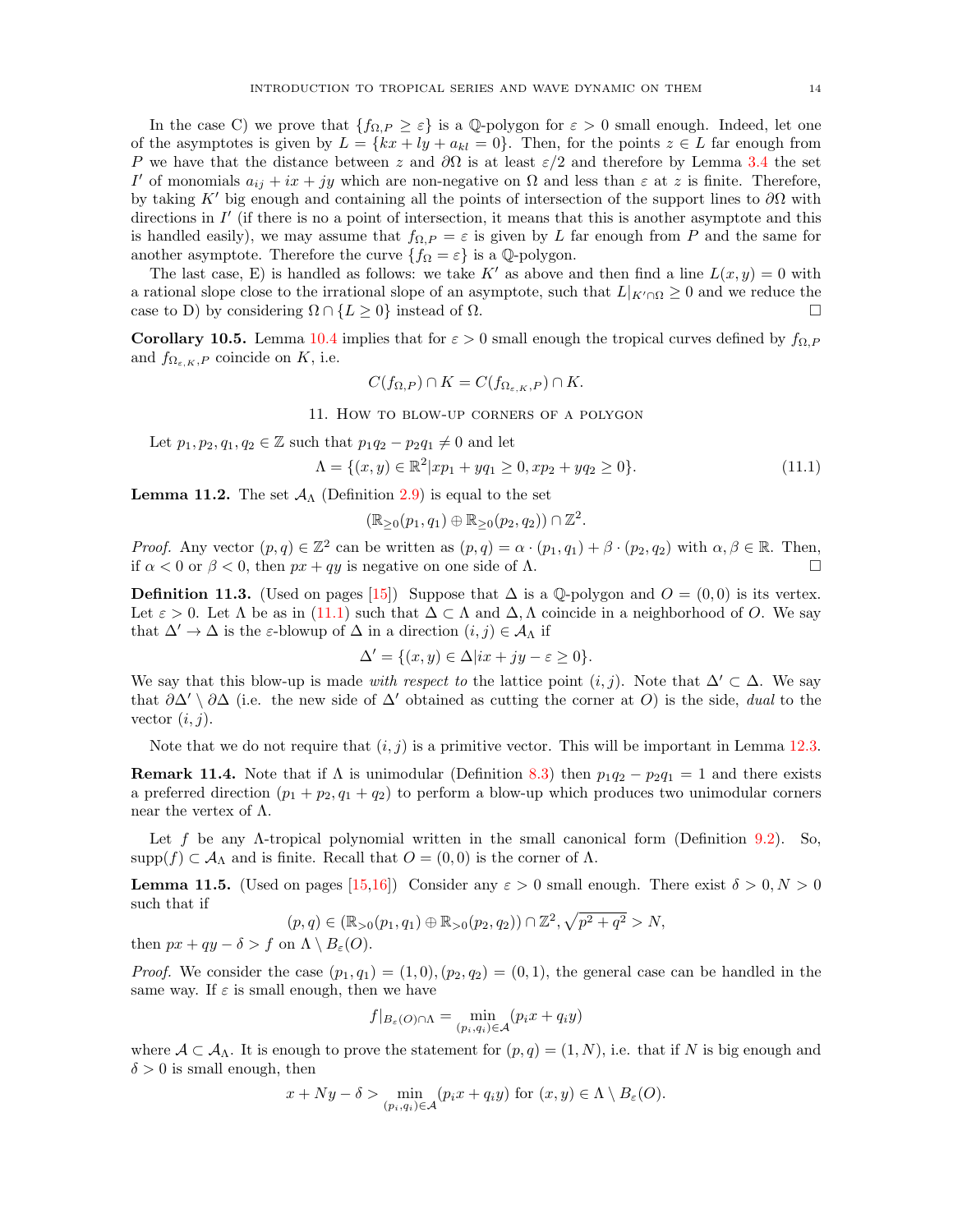<span id="page-13-0"></span>In the case C) we prove that  $\{f_{\Omega,P} \geq \varepsilon\}$  is a Q-polygon for  $\varepsilon > 0$  small enough. Indeed, let one of the asymptotes is given by  $L = \{kx + ly + a_{kl} = 0\}$ . Then, for the points  $z \in L$  far enough from P we have that the distance between z and  $\partial\Omega$  is at least  $\varepsilon/2$  and therefore by Lemma [3.4](#page-3-1) the set I' of monomials  $a_{ij} + ix + jy$  which are non-negative on  $\Omega$  and less than  $\varepsilon$  at z is finite. Therefore, by taking K' big enough and containing all the points of intersection of the support lines to  $\partial\Omega$  with directions in  $I'$  (if there is no a point of intersection, it means that this is another asymptote and this is handled easily), we may assume that  $f_{\Omega,P} = \varepsilon$  is given by L far enough from P and the same for another asymptote. Therefore the curve  $\{f_{\Omega} = \varepsilon\}$  is a  $\mathbb{Q}$ -polygon.

The last case, E) is handled as follows: we take K' as above and then find a line  $L(x, y) = 0$  with a rational slope close to the irrational slope of an asymptote, such that  $L|_{K' \cap \Omega} \geq 0$  and we reduce the case to D) by considering  $\Omega \cap \{L \geq 0\}$  instead of  $\Omega$ .

**Corollary 10.5.** Lemma [10.4](#page-12-2) implies that for  $\varepsilon > 0$  small enough the tropical curves defined by  $f_{\Omega,P}$ and  $f_{\Omega_{\varepsilon,K},P}$  coincide on K, i.e.

$$
C(f_{\Omega,P}) \cap K = C(f_{\Omega_{\varepsilon,K},P}) \cap K.
$$

11. How to blow-up corners of a polygon

Let  $p_1, p_2, q_1, q_2 \in \mathbb{Z}$  such that  $p_1q_2 - p_2q_1 \neq 0$  and let

<span id="page-13-1"></span>
$$
\Lambda = \{(x, y) \in \mathbb{R}^2 | xp_1 + yq_1 \ge 0, xp_2 + yq_2 \ge 0\}.
$$
\n(11.1)

**Lemma 11.2.** The set  $\mathcal{A}_{\Lambda}$  (Definition [2.9\)](#page-2-6) is equal to the set

$$
(\mathbb{R}_{\geq 0}(p_1,q_1)\oplus\mathbb{R}_{\geq 0}(p_2,q_2))\cap\mathbb{Z}^2.
$$

*Proof.* Any vector  $(p,q) \in \mathbb{Z}^2$  can be written as  $(p,q) = \alpha \cdot (p_1,q_1) + \beta \cdot (p_2,q_2)$  with  $\alpha, \beta \in \mathbb{R}$ . Then, if  $\alpha < 0$  or  $\beta < 0$ , then  $px + qy$  is negative on one side of  $\Lambda$ .

<span id="page-13-2"></span>**Definition 11.3.** (Used on pages [\[15\]](#page-14-1)) Suppose that  $\Delta$  is a Q-polygon and  $O = (0, 0)$  is its vertex. Let  $\varepsilon > 0$ . Let  $\Lambda$  be as in [\(11.1\)](#page-13-1) such that  $\Delta \subset \Lambda$  and  $\Delta, \Lambda$  coincide in a neighborhood of O. We say that  $\Delta' \to \Delta$  is the  $\varepsilon$ -blowup of  $\Delta$  in a direction  $(i, j) \in \mathcal{A}_{\Lambda}$  if

$$
\Delta' = \{(x, y) \in \Delta | ix + jy - \varepsilon \ge 0\}.
$$

We say that this blow-up is made *with respect to* the lattice point  $(i, j)$ . Note that  $\Delta' \subset \Delta$ . We say that  $\partial \Delta' \setminus \partial \Delta$  (i.e. the new side of  $\Delta'$  obtained as cutting the corner at O) is the side, dual to the vector  $(i, j)$ .

Note that we do not require that  $(i, j)$  is a primitive vector. This will be important in Lemma [12.3.](#page-14-2)

**Remark 11.4.** Note that if  $\Lambda$  is unimodular (Definition [8.3\)](#page-9-3) then  $p_1q_2 - p_2q_1 = 1$  and there exists a preferred direction  $(p_1 + p_2, q_1 + q_2)$  to perform a blow-up which produces two unimodular corners near the vertex of  $Λ$ .

Let f be any  $\Lambda$ -tropical polynomial written in the small canonical form (Definition [9.2\)](#page-10-4). So,  $\text{supp}(f) \subset A_{\Lambda}$  and is finite. Recall that  $O = (0,0)$  is the corner of  $\Lambda$ .

<span id="page-13-3"></span>**Lemma 11.5.** (Used on pages [\[15](#page-14-1)[,16\]](#page-15-3)) Consider any  $\varepsilon > 0$  small enough. There exist  $\delta > 0, N > 0$ such that if

$$
(p,q) \in (\mathbb{R}_{>0}(p_1,q_1) \oplus \mathbb{R}_{>0}(p_2,q_2)) \cap \mathbb{Z}^2, \sqrt{p^2+q^2} > N,
$$

then  $px + qy - \delta > f$  on  $\Lambda \setminus B_{\varepsilon}(O)$ .

*Proof.* We consider the case  $(p_1, q_1) = (1, 0), (p_2, q_2) = (0, 1)$ , the general case can be handled in the same way. If  $\varepsilon$  is small enough, then we have

$$
f|_{B_{\varepsilon}(O)\cap\Lambda} = \min_{(p_i,q_i)\in\mathcal{A}} (p_i x + q_i y)
$$

where  $A \subset A_{\Lambda}$ . It is enough to prove the statement for  $(p, q) = (1, N)$ , i.e. that if N is big enough and  $\delta > 0$  is small enough, then

$$
x + Ny - \delta > \min_{(p_i, q_i) \in \mathcal{A}} (p_i x + q_i y) \text{ for } (x, y) \in \Lambda \setminus B_{\varepsilon}(O).
$$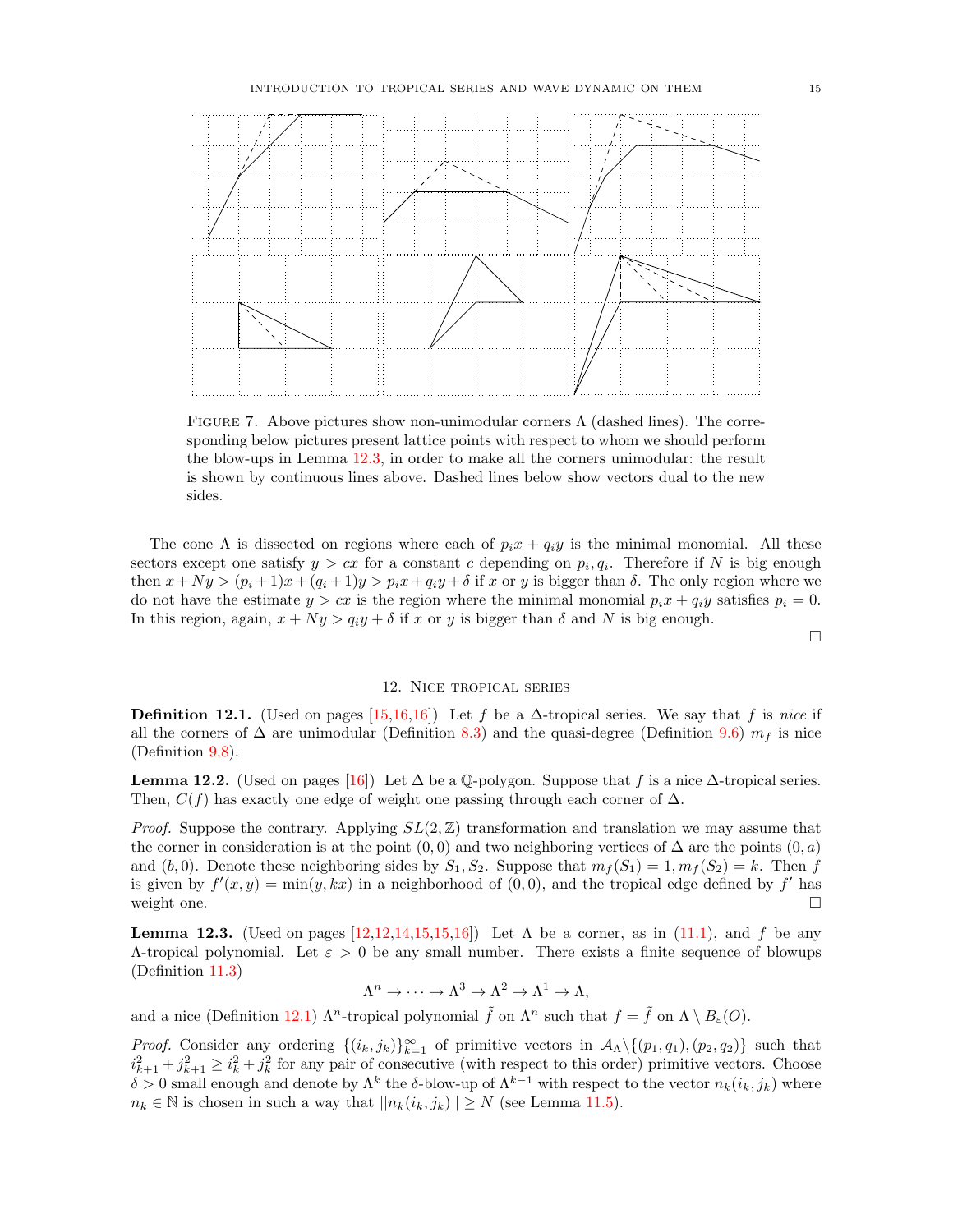<span id="page-14-1"></span>

FIGURE 7. Above pictures show non-unimodular corners  $\Lambda$  (dashed lines). The corresponding below pictures present lattice points with respect to whom we should perform the blow-ups in Lemma [12.3,](#page-14-2) in order to make all the corners unimodular: the result is shown by continuous lines above. Dashed lines below show vectors dual to the new sides.

The cone  $\Lambda$  is dissected on regions where each of  $p_i x + q_i y$  is the minimal monomial. All these sectors except one satisfy  $y > cx$  for a constant c depending on  $p_i, q_i$ . Therefore if N is big enough then  $x + Ny > (p_i + 1)x + (q_i + 1)y > p_ix + q_iy + \delta$  if x or y is bigger than  $\delta$ . The only region where we do not have the estimate  $y > cx$  is the region where the minimal monomial  $p_i x + q_i y$  satisfies  $p_i = 0$ . In this region, again,  $x + Ny > q_iy + \delta$  if x or y is bigger than  $\delta$  and N is big enough.

 $\Box$ 

#### 12. Nice tropical series

<span id="page-14-3"></span><span id="page-14-0"></span>**Definition 12.1.** (Used on pages [\[15,](#page-14-1)[16,16\]](#page-15-3)) Let f be a  $\Delta$ -tropical series. We say that f is nice if all the corners of  $\Delta$  are unimodular (Definition [8.3\)](#page-9-3) and the quasi-degree (Definition [9.6\)](#page-11-4)  $m_f$  is nice (Definition [9.8\)](#page-11-5).

<span id="page-14-4"></span>**Lemma 12.2.** (Used on pages [\[16\]](#page-15-3)) Let  $\Delta$  be a Q-polygon. Suppose that f is a nice  $\Delta$ -tropical series. Then,  $C(f)$  has exactly one edge of weight one passing through each corner of  $\Delta$ .

*Proof.* Suppose the contrary. Applying  $SL(2, \mathbb{Z})$  transformation and translation we may assume that the corner in consideration is at the point  $(0, 0)$  and two neighboring vertices of  $\Delta$  are the points  $(0, a)$ and  $(b, 0)$ . Denote these neighboring sides by  $S_1, S_2$ . Suppose that  $m_f(S_1) = 1, m_f(S_2) = k$ . Then f is given by  $f'(x, y) = \min(y, kx)$  in a neighborhood of  $(0, 0)$ , and the tropical edge defined by f' has weight one.  $\Box$ 

<span id="page-14-2"></span>**Lemma 12.3.** (Used on pages  $[12,12,14,15,15,16]$  $[12,12,14,15,15,16]$  $[12,12,14,15,15,16]$  $[12,12,14,15,15,16]$ ) Let  $\Lambda$  be a corner, as in [\(11.1\)](#page-13-1), and f be any Λ-tropical polynomial. Let ε > 0 be any small number. There exists a finite sequence of blowups (Definition [11.3\)](#page-13-2)

$$
\Lambda^n \to \cdots \to \Lambda^3 \to \Lambda^2 \to \Lambda^1 \to \Lambda,
$$

and a nice (Definition [12.1\)](#page-14-3)  $\Lambda^n$ -tropical polynomial  $\tilde{f}$  on  $\Lambda^n$  such that  $f = \tilde{f}$  on  $\Lambda \setminus B_\varepsilon(O)$ .

*Proof.* Consider any ordering  $\{(i_k, j_k)\}_{k=1}^{\infty}$  of primitive vectors in  $\mathcal{A}_{\Lambda}\setminus\{(p_1, q_1), (p_2, q_2)\}\$  such that  $i_{k+1}^2 + j_{k+1}^2 \geq i_k^2 + j_k^2$  for any pair of consecutive (with respect to this order) primitive vectors. Choose δ > 0 small enough and denote by  $\Lambda^k$  the δ-blow-up of  $\Lambda^{k-1}$  with respect to the vector  $n_k(i_k, j_k)$  where  $n_k \in \mathbb{N}$  is chosen in such a way that  $||n_k(i_k, j_k)|| \ge N$  (see Lemma [11.5\)](#page-13-3).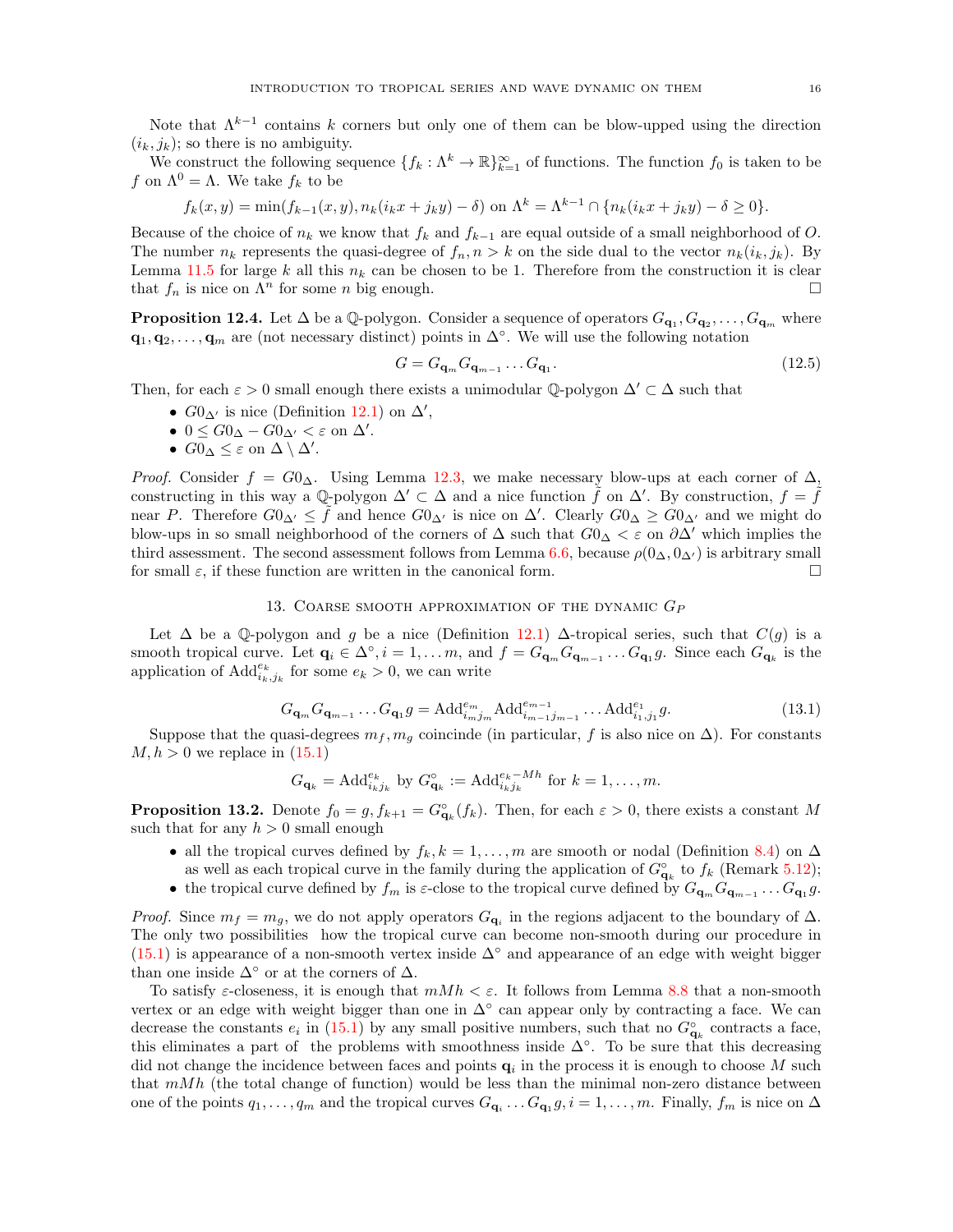<span id="page-15-3"></span>Note that  $\Lambda^{k-1}$  contains k corners but only one of them can be blow-upped using the direction  $(i_k, j_k)$ ; so there is no ambiguity.

We construct the following sequence  $\{f_k: \Lambda^k \to \mathbb{R}\}_{k=1}^\infty$  of functions. The function  $f_0$  is taken to be f on  $\Lambda^0 = \Lambda$ . We take  $f_k$  to be

$$
f_k(x, y) = \min(f_{k-1}(x, y), n_k(i_k x + j_k y) - \delta) \text{ on } \Lambda^k = \Lambda^{k-1} \cap \{n_k(i_k x + j_k y) - \delta \ge 0\}.
$$

Because of the choice of  $n_k$  we know that  $f_k$  and  $f_{k-1}$  are equal outside of a small neighborhood of O. The number  $n_k$  represents the quasi-degree of  $f_n, n > k$  on the side dual to the vector  $n_k(i_k, j_k)$ . By Lemma [11.5](#page-13-3) for large k all this  $n_k$  can be chosen to be 1. Therefore from the construction it is clear that  $f_n$  is nice on  $\Lambda^n$  for some n big enough.

<span id="page-15-1"></span>**Proposition 12.4.** Let  $\Delta$  be a Q-polygon. Consider a sequence of operators  $G_{\mathbf{q}_1}, G_{\mathbf{q}_2}, \ldots, G_{\mathbf{q}_m}$  where  $\mathbf{q}_1, \mathbf{q}_2, \ldots, \mathbf{q}_m$  are (not necessary distinct) points in  $\Delta^\circ$ . We will use the following notation

$$
G = G_{\mathbf{q}_m} G_{\mathbf{q}_{m-1}} \dots G_{\mathbf{q}_1}.
$$
\n
$$
(12.5)
$$

Then, for each  $\varepsilon > 0$  small enough there exists a unimodular Q-polygon  $\Delta' \subset \Delta$  such that

- $G0_{\Delta'}$  is nice (Definition [12.1\)](#page-14-3) on  $\Delta'$ ,
- $0 \leq G0_{\Delta} G0_{\Delta'} < \varepsilon$  on  $\Delta'$ .
- $G0_{\Delta} \leq \varepsilon$  on  $\Delta \setminus \Delta'$ .

*Proof.* Consider  $f = G_0 \Delta$ . Using Lemma [12.3,](#page-14-2) we make necessary blow-ups at each corner of  $\Delta$ , constructing in this way a Q-polygon  $\Delta' \subset \Delta$  and a nice function  $\tilde{f}$  on  $\Delta'$ . By construction,  $f = \tilde{f}$ near P. Therefore  $G0_{\Delta'} \leq \tilde{f}$  and hence  $G0_{\Delta'}$  is nice on  $\Delta'$ . Clearly  $G0_{\Delta} \geq \tilde{G}0_{\Delta'}$  and we might do blow-ups in so small neighborhood of the corners of  $\Delta$  such that  $G0_{\Delta} < \varepsilon$  on  $\partial \Delta'$  which implies the third assessment. The second assessment follows from Lemma [6.6,](#page-8-2) because  $\rho(0_\Delta, 0_{\Delta'})$  is arbitrary small for small  $\varepsilon$ , if these function are written in the canonical form.

### 13. COARSE SMOOTH APPROXIMATION OF THE DYNAMIC  $G_P$

<span id="page-15-0"></span>Let  $\Delta$  be a Q-polygon and g be a nice (Definition [12.1\)](#page-14-3)  $\Delta$ -tropical series, such that  $C(g)$  is a smooth tropical curve. Let  $\mathbf{q}_i \in \Delta^{\circ}, i = 1, \ldots, m$ , and  $f = G_{\mathbf{q}_m} G_{\mathbf{q}_{m-1}} \ldots G_{\mathbf{q}_1} g$ . Since each  $G_{\mathbf{q}_k}$  is the application of  $\text{Add}_{i_k,j_k}^{e_k}$  for some  $e_k > 0$ , we can write

$$
G_{\mathbf{q}_m} G_{\mathbf{q}_{m-1}} \dots G_{\mathbf{q}_1} g = \text{Add}_{i_m j_m}^{e_m} \text{Add}_{i_{m-1} j_{m-1}}^{e_{m-1}} \dots \text{Add}_{i_1, j_1}^{e_1} g. \tag{13.1}
$$

Suppose that the quasi-degrees  $m_f, m_g$  coincinde (in particular, f is also nice on  $\Delta$ ). For constants  $M, h > 0$  we replace in  $(15.1)$ 

$$
G_{\mathbf{q}_k} = \mathrm{Add}_{i_k j_k}^{e_k} \text{ by } G_{\mathbf{q}_k}^{\circ} := \mathrm{Add}_{i_k j_k}^{e_k - Mh} \text{ for } k = 1, \dots, m.
$$

<span id="page-15-2"></span>**Proposition 13.2.** Denote  $f_0 = g$ ,  $f_{k+1} = G_{\mathbf{q}_k}(f_k)$ . Then, for each  $\varepsilon > 0$ , there exists a constant M such that for any  $h > 0$  small enough

- all the tropical curves defined by  $f_k, k = 1, \ldots, m$  are smooth or nodal (Definition [8.4\)](#page-9-4) on  $\Delta$ as well as each tropical curve in the family during the application of  $G^{\circ}_{\mathbf{q}_k}$  to  $f_k$  (Remark [5.12\)](#page-7-4);
- the tropical curve defined by  $f_m$  is  $\varepsilon$ -close to the tropical curve defined by  $G_{\mathbf{q}_m} G_{\mathbf{q}_{m-1}} \ldots G_{\mathbf{q}_1} g$ .

*Proof.* Since  $m_f = m_g$ , we do not apply operators  $G_{\mathbf{q}_i}$  in the regions adjacent to the boundary of  $\Delta$ . The only two possibilities how the tropical curve can become non-smooth during our procedure in [\(15.1\)](#page-18-2) is appearance of a non-smooth vertex inside  $\Delta^{\circ}$  and appearance of an edge with weight bigger than one inside  $\Delta^{\circ}$  or at the corners of  $\Delta$ .

To satisfy  $\varepsilon$ -closeness, it is enough that  $mMh < \varepsilon$ . It follows from Lemma [8.8](#page-10-5) that a non-smooth vertex or an edge with weight bigger than one in  $\Delta^{\circ}$  can appear only by contracting a face. We can decrease the constants  $e_i$  in [\(15.1\)](#page-18-2) by any small positive numbers, such that no  $G^{\circ}_{\mathbf{q}_k}$  contracts a face, this eliminates a part of the problems with smoothness inside  $\Delta^{\circ}$ . To be sure that this decreasing did not change the incidence between faces and points  $q_i$  in the process it is enough to choose M such that  $mMh$  (the total change of function) would be less than the minimal non-zero distance between one of the points  $q_1, \ldots, q_m$  and the tropical curves  $G_{\mathbf{q}_i} \ldots G_{\mathbf{q}_1} g, i = 1, \ldots, m$ . Finally,  $f_m$  is nice on  $\Delta$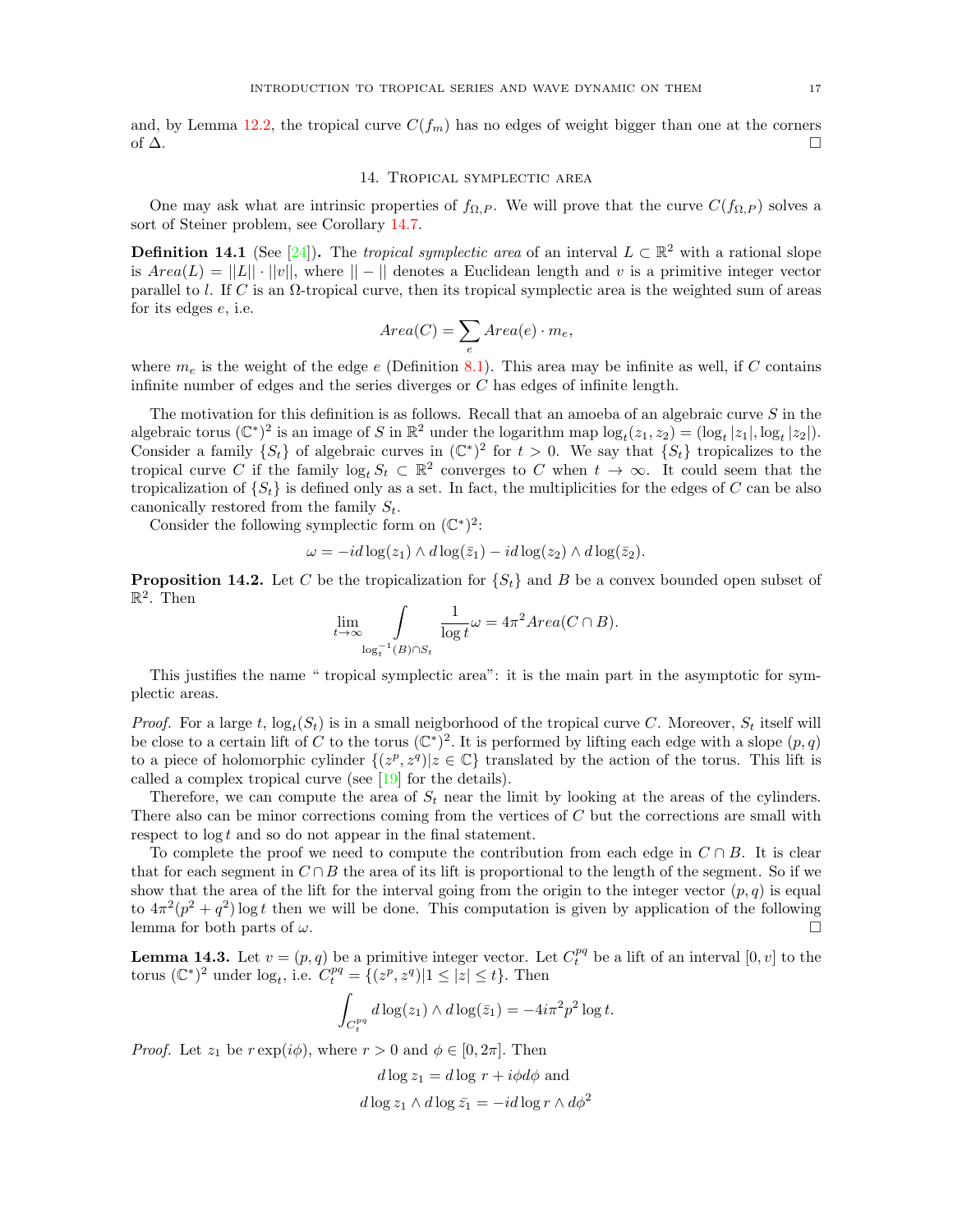<span id="page-16-1"></span>and, by Lemma [12.2,](#page-14-4) the tropical curve  $C(f_m)$  has no edges of weight bigger than one at the corners of  $\Delta$ .

### 14. Tropical symplectic area

<span id="page-16-0"></span>One may ask what are intrinsic properties of  $f_{\Omega,P}$ . We will prove that the curve  $C(f_{\Omega,P})$  solves a sort of Steiner problem, see Corollary [14.7.](#page-17-1)

**Definition 14.1** (See [\[24\]](#page-19-18)). The tropical symplectic area of an interval  $L \subset \mathbb{R}^2$  with a rational slope is  $Area(L) = ||L|| \cdot ||v||$ , where  $|| - ||$  denotes a Euclidean length and v is a primitive integer vector parallel to l. If C is an Ω-tropical curve, then its tropical symplectic area is the weighted sum of areas for its edges e, i.e.

$$
Area(C) = \sum_{e} Area(e) \cdot m_e,
$$

where  $m_e$  is the weight of the edge e (Definition [8.1\)](#page-9-0). This area may be infinite as well, if C contains infinite number of edges and the series diverges or C has edges of infinite length.

The motivation for this definition is as follows. Recall that an amoeba of an algebraic curve S in the algebraic torus  $(\mathbb{C}^*)^2$  is an image of S in  $\mathbb{R}^2$  under the logarithm map  $\log_t(z_1, z_2) = (\log_t |z_1|, \log_t |z_2|)$ . Consider a family  $\{S_t\}$  of algebraic curves in  $(\mathbb{C}^*)^2$  for  $t > 0$ . We say that  $\{S_t\}$  tropicalizes to the tropical curve C if the family  $\log_t S_t \subset \mathbb{R}^2$  converges to C when  $t \to \infty$ . It could seem that the tropicalization of  $\{S_t\}$  is defined only as a set. In fact, the multiplicities for the edges of C can be also canonically restored from the family  $S_t$ .

Consider the following symplectic form on  $(\mathbb{C}^*)^2$ :

$$
\omega = -id \log(z_1) \wedge d \log(\bar{z}_1) - id \log(z_2) \wedge d \log(\bar{z}_2).
$$

<span id="page-16-2"></span>**Proposition 14.2.** Let C be the tropicalization for  $\{S_t\}$  and B be a convex bounded open subset of  $\mathbb{R}^2$ . Then

$$
\lim_{t \to \infty} \int_{\log_t^{-1}(B) \cap S_t} \frac{1}{\log t} \omega = 4\pi^2 Area(C \cap B).
$$

This justifies the name " tropical symplectic area": it is the main part in the asymptotic for symplectic areas.

*Proof.* For a large t,  $log_t(S_t)$  is in a small neigborhood of the tropical curve C. Moreover,  $S_t$  itself will be close to a certain lift of C to the torus  $(\mathbb{C}^*)^2$ . It is performed by lifting each edge with a slope  $(p, q)$ to a piece of holomorphic cylinder  $\{(z^p, z^q) | z \in \mathbb{C}\}\)$  translated by the action of the torus. This lift is called a complex tropical curve (see [\[19\]](#page-19-21) for the details).

Therefore, we can compute the area of  $S_t$  near the limit by looking at the areas of the cylinders. There also can be minor corrections coming from the vertices of C but the corrections are small with respect to  $\log t$  and so do not appear in the final statement.

To complete the proof we need to compute the contribution from each edge in  $C \cap B$ . It is clear that for each segment in  $C \cap B$  the area of its lift is proportional to the length of the segment. So if we show that the area of the lift for the interval going from the origin to the integer vector  $(p, q)$  is equal to  $4\pi^2(p^2+q^2)\log t$  then we will be done. This computation is given by application of the following lemma for both parts of  $\omega$ .

**Lemma 14.3.** Let  $v = (p, q)$  be a primitive integer vector. Let  $C_t^{pq}$  be a lift of an interval  $[0, v]$  to the torus  $(\mathbb{C}^*)^2$  under  $\log_t$ , i.e.  $C_t^{pq} = \{(z^p, z^q) | 1 \le |z| \le t\}$ . Then

$$
\int_{C_t^{pq}} d\log(z_1) \wedge d\log(\bar{z}_1) = -4i\pi^2 p^2 \log t.
$$

*Proof.* Let  $z_1$  be  $r \exp(i\phi)$ , where  $r > 0$  and  $\phi \in [0, 2\pi]$ . Then

$$
d \log z_1 = d \log r + i \phi d\phi \text{ and}
$$

$$
d \log z_1 \wedge d \log \bar{z_1} = -id \log r \wedge d\phi^2
$$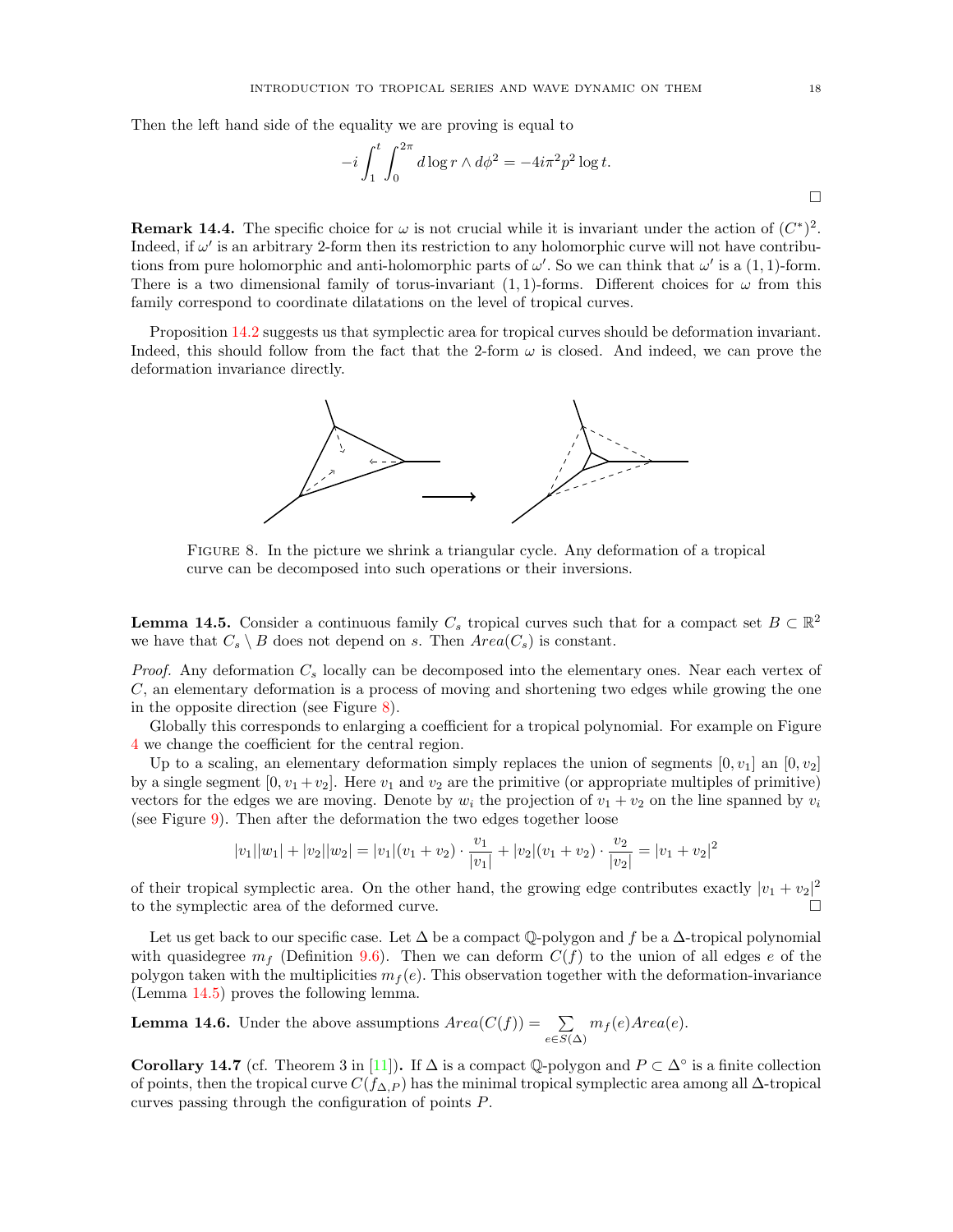<span id="page-17-0"></span>Then the left hand side of the equality we are proving is equal to

$$
-i\int_1^t \int_0^{2\pi} d\log r \wedge d\phi^2 = -4i\pi^2 p^2 \log t.
$$

**Remark 14.4.** The specific choice for  $\omega$  is not crucial while it is invariant under the action of  $(C^*)^2$ . Indeed, if  $\omega'$  is an arbitrary 2-form then its restriction to any holomorphic curve will not have contributions from pure holomorphic and anti-holomorphic parts of  $\omega'$ . So we can think that  $\omega'$  is a (1, 1)-form. There is a two dimensional family of torus-invariant  $(1,1)$ -forms. Different choices for  $\omega$  from this family correspond to coordinate dilatations on the level of tropical curves.

<span id="page-17-2"></span>Proposition [14.2](#page-16-2) suggests us that symplectic area for tropical curves should be deformation invariant. Indeed, this should follow from the fact that the 2-form  $\omega$  is closed. And indeed, we can prove the deformation invariance directly.



Figure 8. In the picture we shrink a triangular cycle. Any deformation of a tropical curve can be decomposed into such operations or their inversions.

<span id="page-17-3"></span>**Lemma 14.5.** Consider a continuous family  $C_s$  tropical curves such that for a compact set  $B \subset \mathbb{R}^2$ we have that  $C_s \setminus B$  does not depend on s. Then  $Area(C_s)$  is constant.

*Proof.* Any deformation  $C_s$  locally can be decomposed into the elementary ones. Near each vertex of C, an elementary deformation is a process of moving and shortening two edges while growing the one in the opposite direction (see Figure [8\)](#page-17-2).

Globally this corresponds to enlarging a coefficient for a tropical polynomial. For example on Figure [4](#page-7-2) we change the coefficient for the central region.

Up to a scaling, an elementary deformation simply replaces the union of segments  $[0, v_1]$  an  $[0, v_2]$ by a single segment  $[0, v_1 + v_2]$ . Here  $v_1$  and  $v_2$  are the primitive (or appropriate multiples of primitive) vectors for the edges we are moving. Denote by  $w_i$  the projection of  $v_1 + v_2$  on the line spanned by  $v_i$ (see Figure [9\)](#page-18-3). Then after the deformation the two edges together loose

$$
|v_1||w_1| + |v_2||w_2| = |v_1|(v_1 + v_2) \cdot \frac{v_1}{|v_1|} + |v_2|(v_1 + v_2) \cdot \frac{v_2}{|v_2|} = |v_1 + v_2|^2
$$

of their tropical symplectic area. On the other hand, the growing edge contributes exactly  $|v_1 + v_2|^2$ to the symplectic area of the deformed curve.

Let us get back to our specific case. Let  $\Delta$  be a compact Q-polygon and f be a  $\Delta$ -tropical polynomial with quasidegree  $m_f$  (Definition [9.6\)](#page-11-4). Then we can deform  $C(f)$  to the union of all edges e of the polygon taken with the multiplicities  $m_f(e)$ . This observation together with the deformation-invariance (Lemma [14.5\)](#page-17-3) proves the following lemma.

**Lemma 14.6.** Under the above assumptions  $Area(C(f)) = \sum$  $\sum_{e \in S(\Delta)} m_f(e) Area(e).$ 

<span id="page-17-1"></span>Corollary 14.7 (cf. Theorem 3 in [\[11\]](#page-19-1)). If  $\Delta$  is a compact Q-polygon and  $P \subset \Delta^{\circ}$  is a finite collection of points, then the tropical curve  $C(f_{\Delta,P})$  has the minimal tropical symplectic area among all  $\Delta$ -tropical curves passing through the configuration of points P.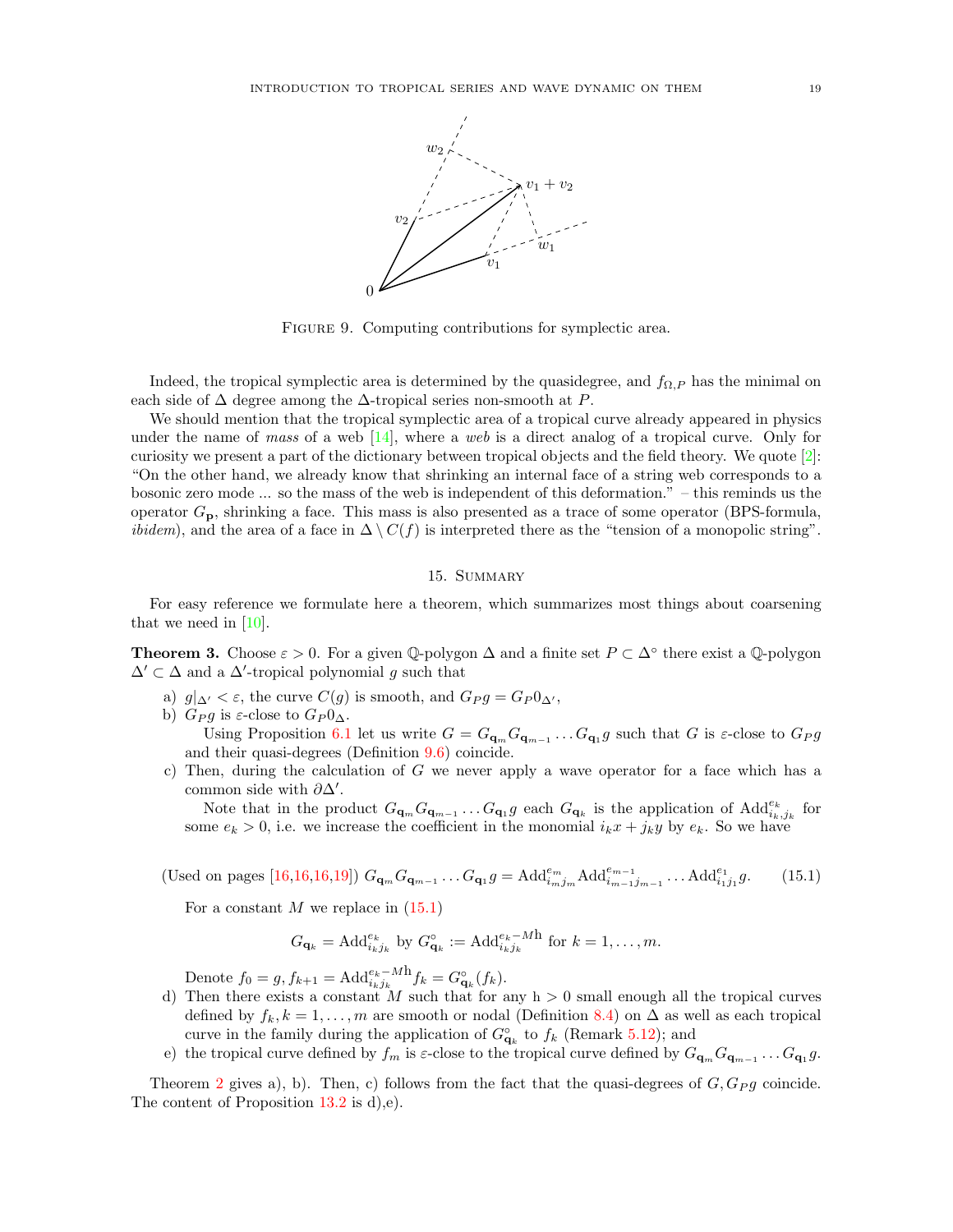<span id="page-18-3"></span><span id="page-18-1"></span>

FIGURE 9. Computing contributions for symplectic area.

Indeed, the tropical symplectic area is determined by the quasidegree, and  $f_{\Omega,P}$  has the minimal on each side of  $\Delta$  degree among the  $\Delta$ -tropical series non-smooth at P.

We should mention that the tropical symplectic area of a tropical curve already appeared in physics under the name of mass of a web  $[14]$ , where a web is a direct analog of a tropical curve. Only for curiosity we present a part of the dictionary between tropical objects and the field theory. We quote [\[2\]](#page-19-23): "On the other hand, we already know that shrinking an internal face of a string web corresponds to a bosonic zero mode ... so the mass of the web is independent of this deformation." – this reminds us the operator  $G_p$ , shrinking a face. This mass is also presented as a trace of some operator (BPS-formula, *ibidem*), and the area of a face in  $\Delta \setminus C(f)$  is interpreted there as the "tension of a monopolic string".

# 15. Summary

<span id="page-18-0"></span>For easy reference we formulate here a theorem, which summarizes most things about coarsening that we need in [\[10\]](#page-19-0).

**Theorem 3.** Choose  $\varepsilon > 0$ . For a given  $\mathbb{Q}$ -polygon  $\Delta$  and a finite set  $P \subset \Delta^{\circ}$  there exist a  $\mathbb{Q}$ -polygon  $\Delta' \subset \Delta$  and a  $\Delta'$ -tropical polynomial g such that

- a)  $g|_{\Delta'} < \varepsilon$ , the curve  $C(g)$  is smooth, and  $G_P g = G_P 0_{\Delta'}$ ,
- b)  $G_P g$  is  $\varepsilon$ -close to  $G_P 0_\Delta$ . Using Proposition [6.1](#page-7-3) let us write  $G = G_{\mathbf{q}_m} G_{\mathbf{q}_{m-1}} \dots G_{\mathbf{q}_1} g$  such that G is  $\varepsilon$ -close to  $G_P g$ and their quasi-degrees (Definition [9.6\)](#page-11-4) coincide.
- c) Then, during the calculation of G we never apply a wave operator for a face which has a common side with  $\partial \Delta'$ .

Note that in the product  $G_{\mathbf{q}_m} G_{\mathbf{q}_{m-1}} \dots G_{\mathbf{q}_1} g$  each  $G_{\mathbf{q}_k}$  is the application of  $\text{Add}_{i_k,j_k}^{e_k}$  for some  $e_k > 0$ , i.e. we increase the coefficient in the monomial  $i_k x + j_k y$  by  $e_k$ . So we have

<span id="page-18-2"></span>(Used on pages [\[16,16,16](#page-15-3)[,19\]](#page-18-1))  $G_{\mathbf{q}_m} G_{\mathbf{q}_{m-1}} \dots G_{\mathbf{q}_1} g = \text{Add}_{i_m j_m}^{e_m} \text{Add}_{i_{m-1} j_{m-1}}^{e_{m-1}} \dots \text{Add}_{i_1 j_1}^{e_1}$  $(15.1)$ 

For a constant  $M$  we replace in  $(15.1)$ 

$$
G_{\mathbf{q}_k} = \mathrm{Add}_{i_k j_k}^{e_k} \text{ by } G_{\mathbf{q}_k}^{\circ} := \mathrm{Add}_{i_k j_k}^{e_k - Mh} \text{ for } k = 1, \ldots, m.
$$

Denote  $f_0 = g, f_{k+1} = \text{Add}_{i_k j_k}^{e_k - Mh} f_k = G_{\mathbf{q}_k}^{\circ}(f_k).$ 

- d) Then there exists a constant M such that for any  $h > 0$  small enough all the tropical curves defined by  $f_k, k = 1, \ldots, m$  are smooth or nodal (Definition [8.4\)](#page-9-4) on  $\Delta$  as well as each tropical curve in the family during the application of  $G^{\circ}_{\mathbf{q}_k}$  to  $f_k$  (Remark [5.12\)](#page-7-4); and
- e) the tropical curve defined by  $f_m$  is  $\varepsilon$ -close to the tropical curve defined by  $G_{\mathbf{q}_m} G_{\mathbf{q}_{m-1}} \dots G_{\mathbf{q}_1} g$ .

Theorem [2](#page-11-2) gives a), b). Then, c) follows from the fact that the quasi-degrees of  $G, G_{P}g$  coincide. The content of Proposition [13.2](#page-15-2) is d),e).